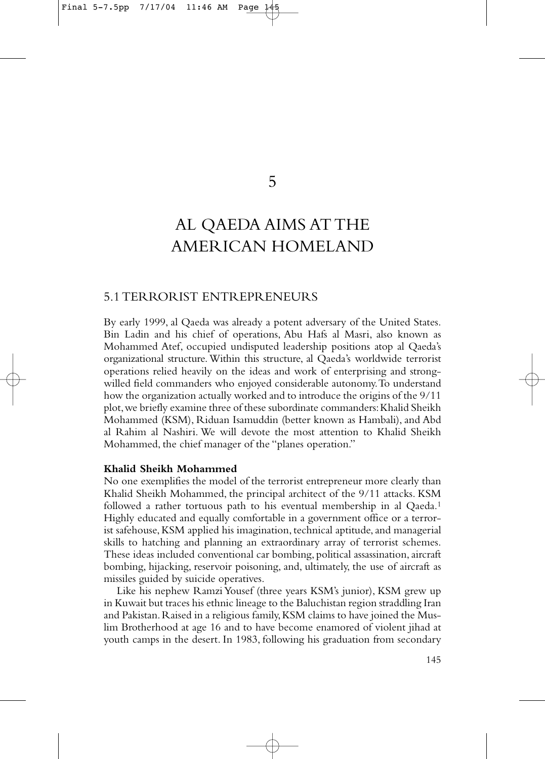5

# AL QAEDA AIMS AT THE AMERICAN HOMELAND

# 5.1 TERRORIST ENTREPRENEURS

By early 1999, al Qaeda was already a potent adversary of the United States. Bin Ladin and his chief of operations, Abu Hafs al Masri, also known as Mohammed Atef, occupied undisputed leadership positions atop al Qaeda's organizational structure. Within this structure, al Qaeda's worldwide terrorist operations relied heavily on the ideas and work of enterprising and strongwilled field commanders who enjoyed considerable autonomy.To understand how the organization actually worked and to introduce the origins of the 9/11 plot,we briefly examine three of these subordinate commanders:Khalid Sheikh Mohammed (KSM), Riduan Isamuddin (better known as Hambali), and Abd al Rahim al Nashiri. We will devote the most attention to Khalid Sheikh Mohammed, the chief manager of the "planes operation."

#### **Khalid Sheikh Mohammed**

No one exemplifies the model of the terrorist entrepreneur more clearly than Khalid Sheikh Mohammed, the principal architect of the 9/11 attacks. KSM followed a rather tortuous path to his eventual membership in al Qaeda.<sup>1</sup> Highly educated and equally comfortable in a government office or a terrorist safehouse, KSM applied his imagination, technical aptitude, and managerial skills to hatching and planning an extraordinary array of terrorist schemes. These ideas included conventional car bombing, political assassination, aircraft bombing, hijacking, reservoir poisoning, and, ultimately, the use of aircraft as missiles guided by suicide operatives.

Like his nephew Ramzi Yousef (three years KSM's junior), KSM grew up in Kuwait but traces his ethnic lineage to the Baluchistan region straddling Iran and Pakistan.Raised in a religious family,KSM claims to have joined the Muslim Brotherhood at age 16 and to have become enamored of violent jihad at youth camps in the desert. In 1983, following his graduation from secondary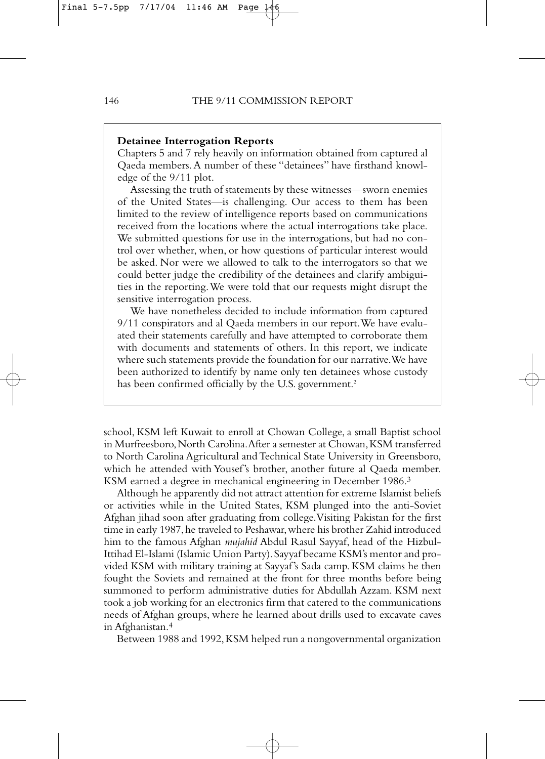#### **Detainee Interrogation Reports**

Chapters 5 and 7 rely heavily on information obtained from captured al Qaeda members.A number of these "detainees" have firsthand knowledge of the 9/11 plot.

Assessing the truth of statements by these witnesses—sworn enemies of the United States—is challenging. Our access to them has been limited to the review of intelligence reports based on communications received from the locations where the actual interrogations take place. We submitted questions for use in the interrogations, but had no control over whether, when, or how questions of particular interest would be asked. Nor were we allowed to talk to the interrogators so that we could better judge the credibility of the detainees and clarify ambiguities in the reporting.We were told that our requests might disrupt the sensitive interrogation process.

We have nonetheless decided to include information from captured 9/11 conspirators and al Qaeda members in our report.We have evaluated their statements carefully and have attempted to corroborate them with documents and statements of others. In this report, we indicate where such statements provide the foundation for our narrative.We have been authorized to identify by name only ten detainees whose custody has been confirmed officially by the U.S. government.<sup>2</sup>

school, KSM left Kuwait to enroll at Chowan College, a small Baptist school in Murfreesboro, North Carolina. After a semester at Chowan, KSM transferred to North Carolina Agricultural and Technical State University in Greensboro, which he attended with Yousef's brother, another future al Qaeda member. KSM earned a degree in mechanical engineering in December 1986.3

Although he apparently did not attract attention for extreme Islamist beliefs or activities while in the United States, KSM plunged into the anti-Soviet Afghan jihad soon after graduating from college.Visiting Pakistan for the first time in early 1987, he traveled to Peshawar, where his brother Zahid introduced him to the famous Afghan *mujahid* Abdul Rasul Sayyaf, head of the Hizbul-Ittihad El-Islami (Islamic Union Party).Sayyaf became KSM's mentor and provided KSM with military training at Sayyaf's Sada camp. KSM claims he then fought the Soviets and remained at the front for three months before being summoned to perform administrative duties for Abdullah Azzam. KSM next took a job working for an electronics firm that catered to the communications needs of Afghan groups, where he learned about drills used to excavate caves in Afghanistan.4

Between 1988 and 1992,KSM helped run a nongovernmental organization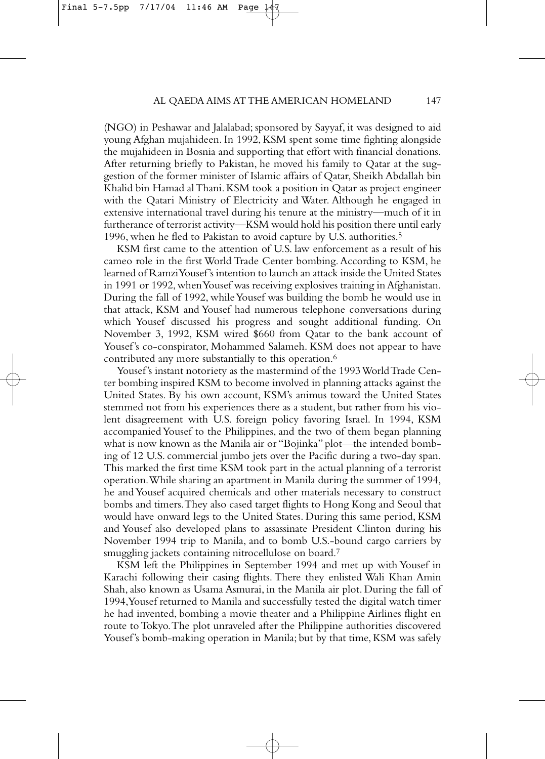(NGO) in Peshawar and Jalalabad; sponsored by Sayyaf, it was designed to aid young Afghan mujahideen. In 1992, KSM spent some time fighting alongside the mujahideen in Bosnia and supporting that effort with financial donations. After returning briefly to Pakistan, he moved his family to Qatar at the suggestion of the former minister of Islamic affairs of Qatar, Sheikh Abdallah bin Khalid bin Hamad al Thani. KSM took a position in Qatar as project engineer with the Qatari Ministry of Electricity and Water. Although he engaged in extensive international travel during his tenure at the ministry—much of it in furtherance of terrorist activity—KSM would hold his position there until early 1996, when he fled to Pakistan to avoid capture by U.S. authorities.5

KSM first came to the attention of U.S. law enforcement as a result of his cameo role in the first World Trade Center bombing. According to KSM, he learned of Ramzi Yousef's intention to launch an attack inside the United States in 1991 or 1992,when Yousef was receiving explosives training in Afghanistan. During the fall of 1992, while Yousef was building the bomb he would use in that attack, KSM and Yousef had numerous telephone conversations during which Yousef discussed his progress and sought additional funding. On November 3, 1992, KSM wired \$660 from Qatar to the bank account of Yousef's co-conspirator, Mohammed Salameh. KSM does not appear to have contributed any more substantially to this operation.6

Yousef's instant notoriety as the mastermind of the 1993 World Trade Center bombing inspired KSM to become involved in planning attacks against the United States. By his own account, KSM's animus toward the United States stemmed not from his experiences there as a student, but rather from his violent disagreement with U.S. foreign policy favoring Israel. In 1994, KSM accompanied Yousef to the Philippines, and the two of them began planning what is now known as the Manila air or "Bojinka" plot—the intended bombing of 12 U.S. commercial jumbo jets over the Pacific during a two-day span. This marked the first time KSM took part in the actual planning of a terrorist operation.While sharing an apartment in Manila during the summer of 1994, he and Yousef acquired chemicals and other materials necessary to construct bombs and timers.They also cased target flights to Hong Kong and Seoul that would have onward legs to the United States. During this same period, KSM and Yousef also developed plans to assassinate President Clinton during his November 1994 trip to Manila, and to bomb U.S.-bound cargo carriers by smuggling jackets containing nitrocellulose on board.7

KSM left the Philippines in September 1994 and met up with Yousef in Karachi following their casing flights. There they enlisted Wali Khan Amin Shah, also known as Usama Asmurai, in the Manila air plot. During the fall of 1994,Yousef returned to Manila and successfully tested the digital watch timer he had invented, bombing a movie theater and a Philippine Airlines flight en route to Tokyo.The plot unraveled after the Philippine authorities discovered Yousef's bomb-making operation in Manila; but by that time, KSM was safely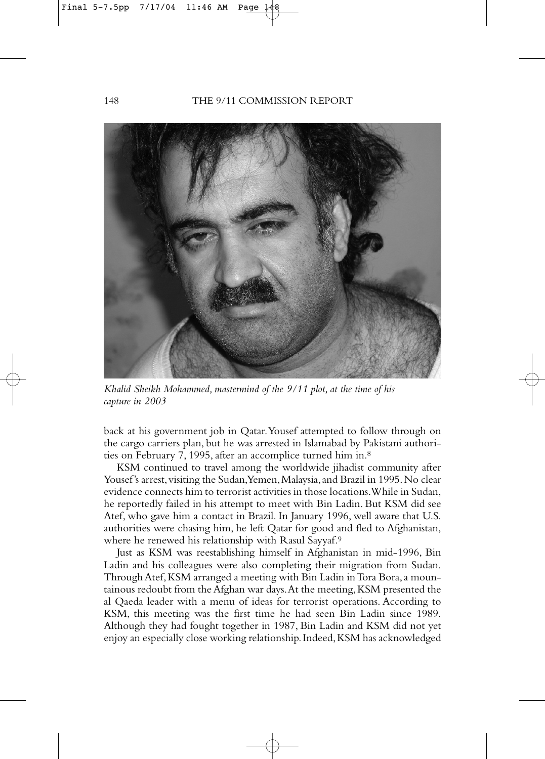

*Khalid Sheikh Mohammed, mastermind of the 9/11 plot, at the time of his capture in 2003*

back at his government job in Qatar.Yousef attempted to follow through on the cargo carriers plan, but he was arrested in Islamabad by Pakistani authorities on February 7, 1995, after an accomplice turned him in.<sup>8</sup>

KSM continued to travel among the worldwide jihadist community after Yousef's arrest, visiting the Sudan, Yemen, Malaysia, and Brazil in 1995. No clear evidence connects him to terrorist activities in those locations.While in Sudan, he reportedly failed in his attempt to meet with Bin Ladin. But KSM did see Atef, who gave him a contact in Brazil. In January 1996, well aware that U.S. authorities were chasing him, he left Qatar for good and fled to Afghanistan, where he renewed his relationship with Rasul Sayyaf.<sup>9</sup>

Just as KSM was reestablishing himself in Afghanistan in mid-1996, Bin Ladin and his colleagues were also completing their migration from Sudan. Through Atef,KSM arranged a meeting with Bin Ladin in Tora Bora,a mountainous redoubt from the Afghan war days. At the meeting, KSM presented the al Qaeda leader with a menu of ideas for terrorist operations. According to KSM, this meeting was the first time he had seen Bin Ladin since 1989. Although they had fought together in 1987, Bin Ladin and KSM did not yet enjoy an especially close working relationship.Indeed,KSM has acknowledged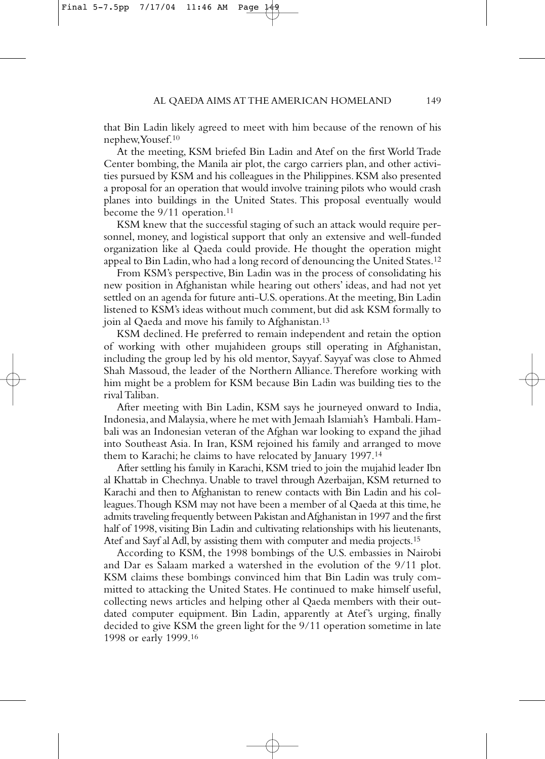that Bin Ladin likely agreed to meet with him because of the renown of his nephew,Yousef.10

At the meeting, KSM briefed Bin Ladin and Atef on the first World Trade Center bombing, the Manila air plot, the cargo carriers plan, and other activities pursued by KSM and his colleagues in the Philippines. KSM also presented a proposal for an operation that would involve training pilots who would crash planes into buildings in the United States. This proposal eventually would become the 9/11 operation.<sup>11</sup>

KSM knew that the successful staging of such an attack would require personnel, money, and logistical support that only an extensive and well-funded organization like al Qaeda could provide. He thought the operation might appeal to Bin Ladin, who had a long record of denouncing the United States.<sup>12</sup>

From KSM's perspective, Bin Ladin was in the process of consolidating his new position in Afghanistan while hearing out others' ideas, and had not yet settled on an agenda for future anti-U.S. operations.At the meeting, Bin Ladin listened to KSM's ideas without much comment,but did ask KSM formally to join al Qaeda and move his family to Afghanistan.13

KSM declined. He preferred to remain independent and retain the option of working with other mujahideen groups still operating in Afghanistan, including the group led by his old mentor, Sayyaf. Sayyaf was close to Ahmed Shah Massoud, the leader of the Northern Alliance.Therefore working with him might be a problem for KSM because Bin Ladin was building ties to the rival Taliban.

After meeting with Bin Ladin, KSM says he journeyed onward to India, Indonesia,and Malaysia,where he met with Jemaah Islamiah's Hambali.Hambali was an Indonesian veteran of the Afghan war looking to expand the jihad into Southeast Asia. In Iran, KSM rejoined his family and arranged to move them to Karachi; he claims to have relocated by January 1997.14

After settling his family in Karachi, KSM tried to join the mujahid leader Ibn al Khattab in Chechnya. Unable to travel through Azerbaijan, KSM returned to Karachi and then to Afghanistan to renew contacts with Bin Ladin and his colleagues.Though KSM may not have been a member of al Qaeda at this time, he admits traveling frequently between Pakistan and Afghanistan in 1997 and the first half of 1998, visiting Bin Ladin and cultivating relationships with his lieutenants, Atef and Sayf al Adl, by assisting them with computer and media projects.15

According to KSM, the 1998 bombings of the U.S. embassies in Nairobi and Dar es Salaam marked a watershed in the evolution of the 9/11 plot. KSM claims these bombings convinced him that Bin Ladin was truly committed to attacking the United States. He continued to make himself useful, collecting news articles and helping other al Qaeda members with their outdated computer equipment. Bin Ladin, apparently at Atef's urging, finally decided to give KSM the green light for the 9/11 operation sometime in late 1998 or early 1999.16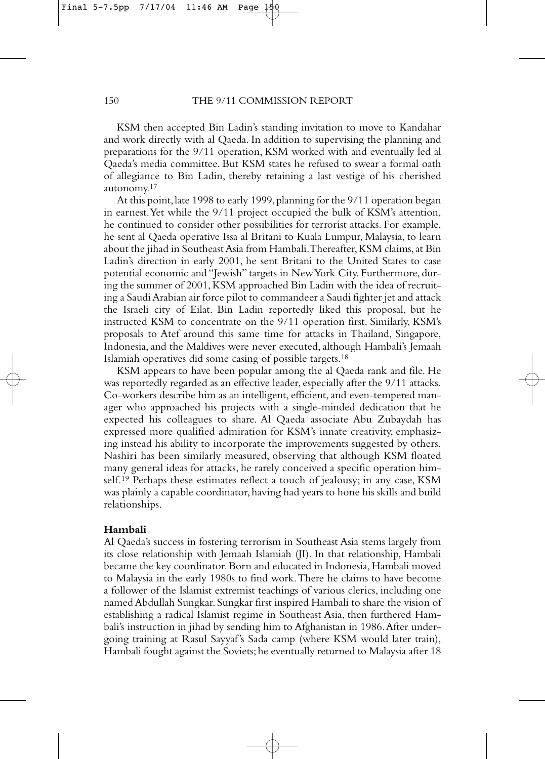KSM then accepted Bin Ladin's standing invitation to move to Kandahar and work directly with al Qaeda. In addition to supervising the planning and preparations for the 9/11 operation, KSM worked with and eventually led al Qaeda's media committee. But KSM states he refused to swear a formal oath of allegiance to Bin Ladin, thereby retaining a last vestige of his cherished autonomy.17

At this point, late 1998 to early 1999, planning for the 9/11 operation began in earnest.Yet while the 9/11 project occupied the bulk of KSM's attention, he continued to consider other possibilities for terrorist attacks. For example, he sent al Qaeda operative Issa al Britani to Kuala Lumpur, Malaysia, to learn about the jihad in Southeast Asia from Hambali. Thereafter, KSM claims, at Bin Ladin's direction in early 2001, he sent Britani to the United States to case potential economic and "Jewish" targets in New York City. Furthermore, during the summer of 2001, KSM approached Bin Ladin with the idea of recruiting a Saudi Arabian air force pilot to commandeer a Saudi fighter jet and attack the Israeli city of Eilat. Bin Ladin reportedly liked this proposal, but he instructed KSM to concentrate on the 9/11 operation first. Similarly, KSM's proposals to Atef around this same time for attacks in Thailand, Singapore, Indonesia, and the Maldives were never executed, although Hambali's Jemaah Islamiah operatives did some casing of possible targets.18

KSM appears to have been popular among the al Qaeda rank and file. He was reportedly regarded as an effective leader, especially after the 9/11 attacks. Co-workers describe him as an intelligent, efficient, and even-tempered manager who approached his projects with a single-minded dedication that he expected his colleagues to share. Al Qaeda associate Abu Zubaydah has expressed more qualified admiration for KSM's innate creativity, emphasizing instead his ability to incorporate the improvements suggested by others. Nashiri has been similarly measured, observing that although KSM floated many general ideas for attacks, he rarely conceived a specific operation himself.19 Perhaps these estimates reflect a touch of jealousy; in any case, KSM was plainly a capable coordinator, having had years to hone his skills and build relationships.

#### **Hambali**

Al Qaeda's success in fostering terrorism in Southeast Asia stems largely from its close relationship with Jemaah Islamiah (JI). In that relationship, Hambali became the key coordinator. Born and educated in Indonesia, Hambali moved to Malaysia in the early 1980s to find work.There he claims to have become a follower of the Islamist extremist teachings of various clerics, including one named Abdullah Sungkar.Sungkar first inspired Hambali to share the vision of establishing a radical Islamist regime in Southeast Asia, then furthered Hambali's instruction in jihad by sending him to Afghanistan in 1986.After undergoing training at Rasul Sayyaf's Sada camp (where KSM would later train), Hambali fought against the Soviets; he eventually returned to Malaysia after 18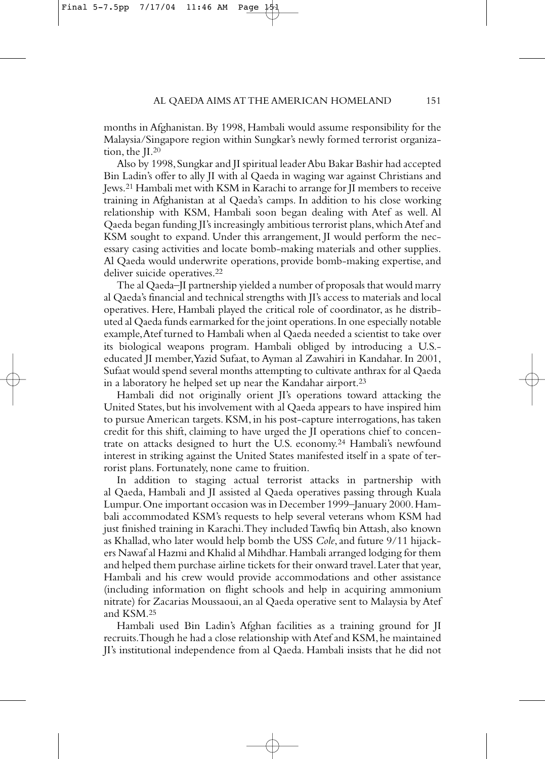months in Afghanistan. By 1998, Hambali would assume responsibility for the Malaysia/Singapore region within Sungkar's newly formed terrorist organization, the JI.20

Also by 1998,Sungkar and JI spiritual leader Abu Bakar Bashir had accepted Bin Ladin's offer to ally JI with al Qaeda in waging war against Christians and Jews.21 Hambali met with KSM in Karachi to arrange for JI members to receive training in Afghanistan at al Qaeda's camps. In addition to his close working relationship with KSM, Hambali soon began dealing with Atef as well. Al Qaeda began funding JI's increasingly ambitious terrorist plans,which Atef and KSM sought to expand. Under this arrangement, JI would perform the necessary casing activities and locate bomb-making materials and other supplies. Al Qaeda would underwrite operations, provide bomb-making expertise, and deliver suicide operatives.<sup>22</sup>

The al Qaeda–JI partnership yielded a number of proposals that would marry al Qaeda's financial and technical strengths with JI's access to materials and local operatives. Here, Hambali played the critical role of coordinator, as he distributed al Qaeda funds earmarked for the joint operations.In one especially notable example,Atef turned to Hambali when al Qaeda needed a scientist to take over its biological weapons program. Hambali obliged by introducing a U.S. educated JI member,Yazid Sufaat, to Ayman al Zawahiri in Kandahar. In 2001, Sufaat would spend several months attempting to cultivate anthrax for al Qaeda in a laboratory he helped set up near the Kandahar airport.23

Hambali did not originally orient JI's operations toward attacking the United States, but his involvement with al Qaeda appears to have inspired him to pursue American targets. KSM, in his post-capture interrogations, has taken credit for this shift, claiming to have urged the JI operations chief to concentrate on attacks designed to hurt the U.S. economy.24 Hambali's newfound interest in striking against the United States manifested itself in a spate of terrorist plans. Fortunately, none came to fruition.

In addition to staging actual terrorist attacks in partnership with al Qaeda, Hambali and JI assisted al Qaeda operatives passing through Kuala Lumpur.One important occasion was in December 1999–January 2000.Hambali accommodated KSM's requests to help several veterans whom KSM had just finished training in Karachi.They included Tawfiq bin Attash, also known as Khallad, who later would help bomb the USS *Cole*, and future 9/11 hijackers Nawaf al Hazmi and Khalid al Mihdhar.Hambali arranged lodging for them and helped them purchase airline tickets for their onward travel.Later that year, Hambali and his crew would provide accommodations and other assistance (including information on flight schools and help in acquiring ammonium nitrate) for Zacarias Moussaoui, an al Qaeda operative sent to Malaysia by Atef and KSM.25

Hambali used Bin Ladin's Afghan facilities as a training ground for JI recruits. Though he had a close relationship with Atef and KSM, he maintained JI's institutional independence from al Qaeda. Hambali insists that he did not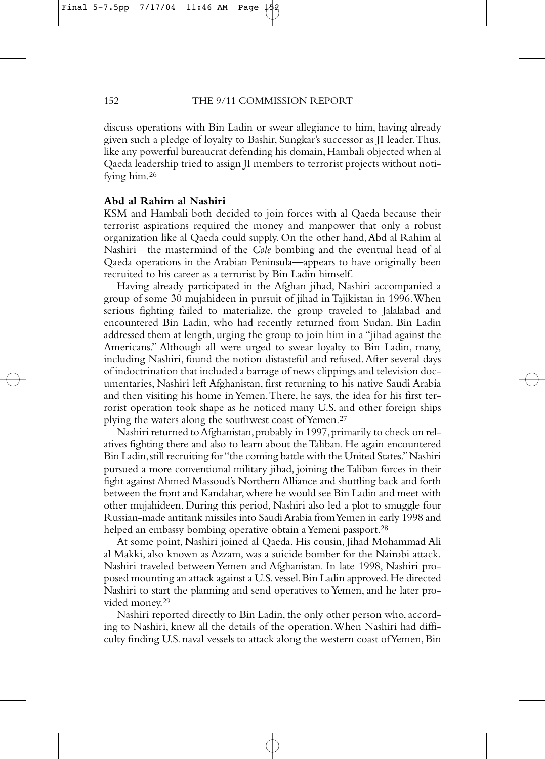discuss operations with Bin Ladin or swear allegiance to him, having already given such a pledge of loyalty to Bashir, Sungkar's successor as JI leader.Thus, like any powerful bureaucrat defending his domain, Hambali objected when al Qaeda leadership tried to assign JI members to terrorist projects without notifying him.26

# **Abd al Rahim al Nashiri**

KSM and Hambali both decided to join forces with al Qaeda because their terrorist aspirations required the money and manpower that only a robust organization like al Qaeda could supply. On the other hand,Abd al Rahim al Nashiri—the mastermind of the *Cole* bombing and the eventual head of al Qaeda operations in the Arabian Peninsula—appears to have originally been recruited to his career as a terrorist by Bin Ladin himself.

Having already participated in the Afghan jihad, Nashiri accompanied a group of some 30 mujahideen in pursuit of jihad in Tajikistan in 1996.When serious fighting failed to materialize, the group traveled to Jalalabad and encountered Bin Ladin, who had recently returned from Sudan. Bin Ladin addressed them at length, urging the group to join him in a "jihad against the Americans." Although all were urged to swear loyalty to Bin Ladin, many, including Nashiri, found the notion distasteful and refused.After several days of indoctrination that included a barrage of news clippings and television documentaries, Nashiri left Afghanistan, first returning to his native Saudi Arabia and then visiting his home in Yemen.There, he says, the idea for his first terrorist operation took shape as he noticed many U.S. and other foreign ships plying the waters along the southwest coast of Yemen.27

Nashiri returned to Afghanistan, probably in 1997, primarily to check on relatives fighting there and also to learn about the Taliban. He again encountered Bin Ladin, still recruiting for "the coming battle with the United States." Nashiri pursued a more conventional military jihad, joining the Taliban forces in their fight against Ahmed Massoud's Northern Alliance and shuttling back and forth between the front and Kandahar, where he would see Bin Ladin and meet with other mujahideen. During this period, Nashiri also led a plot to smuggle four Russian-made antitank missiles into Saudi Arabia from Yemen in early 1998 and helped an embassy bombing operative obtain a Yemeni passport.28

At some point, Nashiri joined al Qaeda. His cousin, Jihad Mohammad Ali al Makki, also known as Azzam, was a suicide bomber for the Nairobi attack. Nashiri traveled between Yemen and Afghanistan. In late 1998, Nashiri proposed mounting an attack against a U.S.vessel.Bin Ladin approved.He directed Nashiri to start the planning and send operatives to Yemen, and he later provided money.29

Nashiri reported directly to Bin Ladin, the only other person who, according to Nashiri, knew all the details of the operation.When Nashiri had difficulty finding U.S. naval vessels to attack along the western coast of Yemen, Bin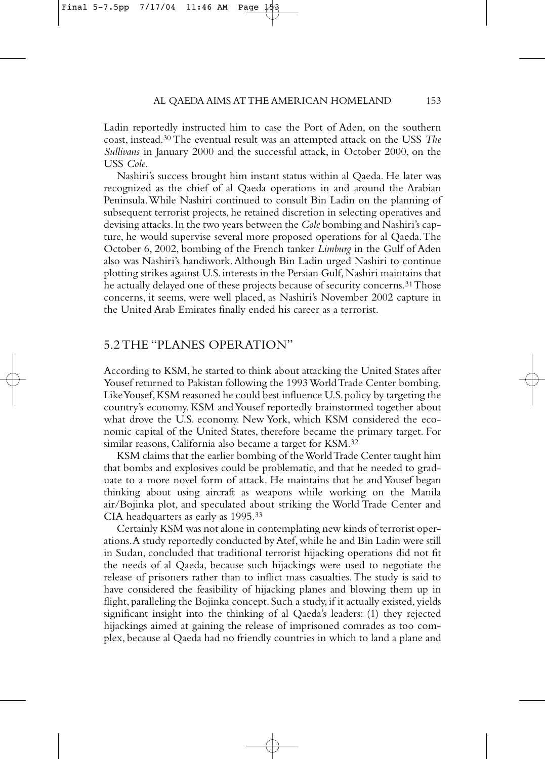Ladin reportedly instructed him to case the Port of Aden, on the southern coast, instead.30 The eventual result was an attempted attack on the USS *The Sullivans* in January 2000 and the successful attack, in October 2000, on the USS *Cole*.

Nashiri's success brought him instant status within al Qaeda. He later was recognized as the chief of al Qaeda operations in and around the Arabian Peninsula.While Nashiri continued to consult Bin Ladin on the planning of subsequent terrorist projects, he retained discretion in selecting operatives and devising attacks.In the two years between the *Cole* bombing and Nashiri's capture, he would supervise several more proposed operations for al Qaeda.The October 6, 2002, bombing of the French tanker *Limburg* in the Gulf of Aden also was Nashiri's handiwork.Although Bin Ladin urged Nashiri to continue plotting strikes against U.S.interests in the Persian Gulf,Nashiri maintains that he actually delayed one of these projects because of security concerns.31Those concerns, it seems, were well placed, as Nashiri's November 2002 capture in the United Arab Emirates finally ended his career as a terrorist.

# 5.2 THE "PLANES OPERATION"

According to KSM, he started to think about attacking the United States after Yousef returned to Pakistan following the 1993 World Trade Center bombing. Like Yousef,KSM reasoned he could best influence U.S.policy by targeting the country's economy. KSM and Yousef reportedly brainstormed together about what drove the U.S. economy. New York, which KSM considered the economic capital of the United States, therefore became the primary target. For similar reasons, California also became a target for KSM.<sup>32</sup>

KSM claims that the earlier bombing of the World Trade Center taught him that bombs and explosives could be problematic, and that he needed to graduate to a more novel form of attack. He maintains that he and Yousef began thinking about using aircraft as weapons while working on the Manila air/Bojinka plot, and speculated about striking the World Trade Center and CIA headquarters as early as 1995.33

Certainly KSM was not alone in contemplating new kinds of terrorist operations.A study reportedly conducted by Atef,while he and Bin Ladin were still in Sudan, concluded that traditional terrorist hijacking operations did not fit the needs of al Qaeda, because such hijackings were used to negotiate the release of prisoners rather than to inflict mass casualties.The study is said to have considered the feasibility of hijacking planes and blowing them up in flight, paralleling the Bojinka concept. Such a study, if it actually existed, yields significant insight into the thinking of al Qaeda's leaders: (1) they rejected hijackings aimed at gaining the release of imprisoned comrades as too complex, because al Qaeda had no friendly countries in which to land a plane and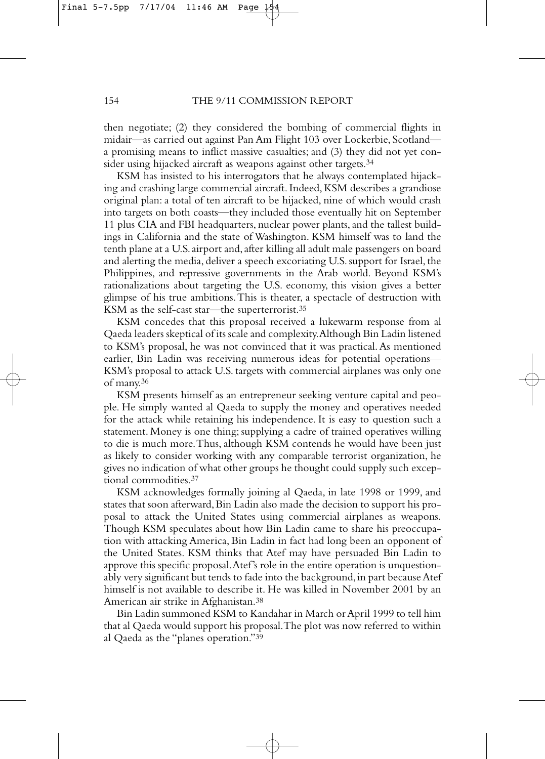then negotiate; (2) they considered the bombing of commercial flights in midair—as carried out against Pan Am Flight 103 over Lockerbie, Scotland a promising means to inflict massive casualties; and (3) they did not yet consider using hijacked aircraft as weapons against other targets.<sup>34</sup>

KSM has insisted to his interrogators that he always contemplated hijacking and crashing large commercial aircraft. Indeed, KSM describes a grandiose original plan: a total of ten aircraft to be hijacked, nine of which would crash into targets on both coasts—they included those eventually hit on September 11 plus CIA and FBI headquarters, nuclear power plants, and the tallest buildings in California and the state of Washington. KSM himself was to land the tenth plane at a U.S.airport and,after killing all adult male passengers on board and alerting the media, deliver a speech excoriating U.S. support for Israel, the Philippines, and repressive governments in the Arab world. Beyond KSM's rationalizations about targeting the U.S. economy, this vision gives a better glimpse of his true ambitions.This is theater, a spectacle of destruction with KSM as the self-cast star—the superterrorist.35

KSM concedes that this proposal received a lukewarm response from al Qaeda leaders skeptical of its scale and complexity.Although Bin Ladin listened to KSM's proposal, he was not convinced that it was practical.As mentioned earlier, Bin Ladin was receiving numerous ideas for potential operations— KSM's proposal to attack U.S. targets with commercial airplanes was only one of many.36

KSM presents himself as an entrepreneur seeking venture capital and people. He simply wanted al Qaeda to supply the money and operatives needed for the attack while retaining his independence. It is easy to question such a statement. Money is one thing; supplying a cadre of trained operatives willing to die is much more.Thus, although KSM contends he would have been just as likely to consider working with any comparable terrorist organization, he gives no indication of what other groups he thought could supply such exceptional commodities.37

KSM acknowledges formally joining al Qaeda, in late 1998 or 1999, and states that soon afterward, Bin Ladin also made the decision to support his proposal to attack the United States using commercial airplanes as weapons. Though KSM speculates about how Bin Ladin came to share his preoccupation with attacking America, Bin Ladin in fact had long been an opponent of the United States. KSM thinks that Atef may have persuaded Bin Ladin to approve this specific proposal.Atef's role in the entire operation is unquestionably very significant but tends to fade into the background,in part because Atef himself is not available to describe it. He was killed in November 2001 by an American air strike in Afghanistan.38

Bin Ladin summoned KSM to Kandahar in March or April 1999 to tell him that al Qaeda would support his proposal.The plot was now referred to within al Qaeda as the "planes operation."39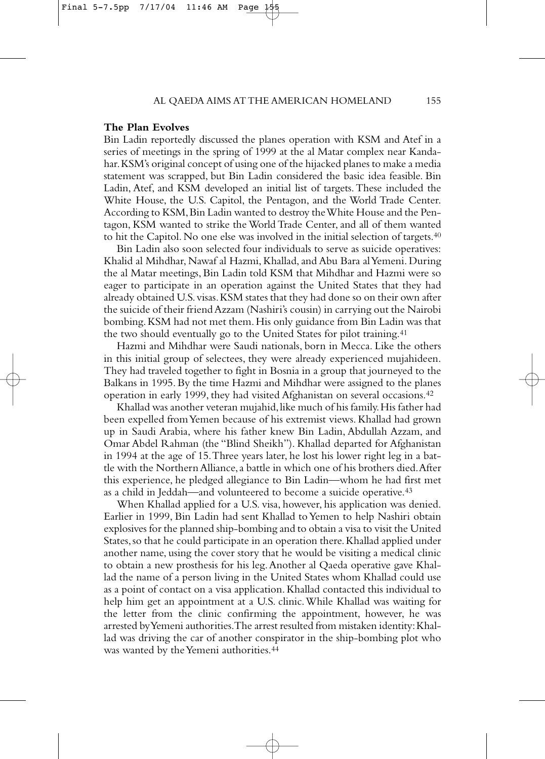# **The Plan Evolves**

Bin Ladin reportedly discussed the planes operation with KSM and Atef in a series of meetings in the spring of 1999 at the al Matar complex near Kandahar.KSM's original concept of using one of the hijacked planes to make a media statement was scrapped, but Bin Ladin considered the basic idea feasible. Bin Ladin, Atef, and KSM developed an initial list of targets. These included the White House, the U.S. Capitol, the Pentagon, and the World Trade Center. According to KSM,Bin Ladin wanted to destroy the White House and the Pentagon, KSM wanted to strike the World Trade Center, and all of them wanted to hit the Capitol. No one else was involved in the initial selection of targets.40

Bin Ladin also soon selected four individuals to serve as suicide operatives: Khalid al Mihdhar, Nawaf al Hazmi, Khallad, and Abu Bara al Yemeni. During the al Matar meetings, Bin Ladin told KSM that Mihdhar and Hazmi were so eager to participate in an operation against the United States that they had already obtained U.S.visas.KSM states that they had done so on their own after the suicide of their friend Azzam (Nashiri's cousin) in carrying out the Nairobi bombing.KSM had not met them.His only guidance from Bin Ladin was that the two should eventually go to the United States for pilot training.41

Hazmi and Mihdhar were Saudi nationals, born in Mecca. Like the others in this initial group of selectees, they were already experienced mujahideen. They had traveled together to fight in Bosnia in a group that journeyed to the Balkans in 1995. By the time Hazmi and Mihdhar were assigned to the planes operation in early 1999, they had visited Afghanistan on several occasions.42

Khallad was another veteran mujahid, like much of his family. His father had been expelled from Yemen because of his extremist views. Khallad had grown up in Saudi Arabia, where his father knew Bin Ladin, Abdullah Azzam, and Omar Abdel Rahman (the "Blind Sheikh"). Khallad departed for Afghanistan in 1994 at the age of 15.Three years later, he lost his lower right leg in a battle with the Northern Alliance,a battle in which one of his brothers died.After this experience, he pledged allegiance to Bin Ladin—whom he had first met as a child in Jeddah—and volunteered to become a suicide operative.43

When Khallad applied for a U.S. visa, however, his application was denied. Earlier in 1999, Bin Ladin had sent Khallad to Yemen to help Nashiri obtain explosives for the planned ship-bombing and to obtain a visa to visit the United States,so that he could participate in an operation there.Khallad applied under another name, using the cover story that he would be visiting a medical clinic to obtain a new prosthesis for his leg.Another al Qaeda operative gave Khallad the name of a person living in the United States whom Khallad could use as a point of contact on a visa application. Khallad contacted this individual to help him get an appointment at a U.S. clinic.While Khallad was waiting for the letter from the clinic confirming the appointment, however, he was arrested by Yemeni authorities.The arrest resulted from mistaken identity:Khallad was driving the car of another conspirator in the ship-bombing plot who was wanted by the Yemeni authorities.44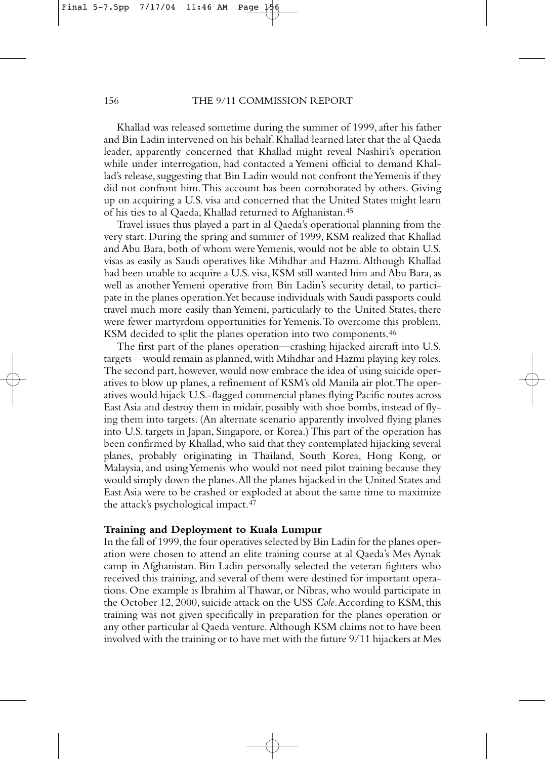Khallad was released sometime during the summer of 1999, after his father and Bin Ladin intervened on his behalf.Khallad learned later that the al Qaeda leader, apparently concerned that Khallad might reveal Nashiri's operation while under interrogation, had contacted a Yemeni official to demand Khallad's release, suggesting that Bin Ladin would not confront the Yemenis if they did not confront him.This account has been corroborated by others. Giving up on acquiring a U.S. visa and concerned that the United States might learn of his ties to al Qaeda, Khallad returned to Afghanistan.45

Travel issues thus played a part in al Qaeda's operational planning from the very start. During the spring and summer of 1999, KSM realized that Khallad and Abu Bara, both of whom were Yemenis, would not be able to obtain U.S. visas as easily as Saudi operatives like Mihdhar and Hazmi.Although Khallad had been unable to acquire a U.S. visa, KSM still wanted him and Abu Bara, as well as another Yemeni operative from Bin Ladin's security detail, to participate in the planes operation.Yet because individuals with Saudi passports could travel much more easily than Yemeni, particularly to the United States, there were fewer martyrdom opportunities for Yemenis.To overcome this problem, KSM decided to split the planes operation into two components.<sup>46</sup>

The first part of the planes operation—crashing hijacked aircraft into U.S. targets—would remain as planned,with Mihdhar and Hazmi playing key roles. The second part, however, would now embrace the idea of using suicide operatives to blow up planes, a refinement of KSM's old Manila air plot.The operatives would hijack U.S.-flagged commercial planes flying Pacific routes across East Asia and destroy them in midair, possibly with shoe bombs, instead of flying them into targets. (An alternate scenario apparently involved flying planes into U.S. targets in Japan, Singapore, or Korea.) This part of the operation has been confirmed by Khallad,who said that they contemplated hijacking several planes, probably originating in Thailand, South Korea, Hong Kong, or Malaysia, and using Yemenis who would not need pilot training because they would simply down the planes.All the planes hijacked in the United States and East Asia were to be crashed or exploded at about the same time to maximize the attack's psychological impact.<sup>47</sup>

#### **Training and Deployment to Kuala Lumpur**

In the fall of 1999, the four operatives selected by Bin Ladin for the planes operation were chosen to attend an elite training course at al Qaeda's Mes Aynak camp in Afghanistan. Bin Ladin personally selected the veteran fighters who received this training, and several of them were destined for important operations. One example is Ibrahim al Thawar, or Nibras, who would participate in the October 12, 2000, suicide attack on the USS *Cole*.According to KSM, this training was not given specifically in preparation for the planes operation or any other particular al Qaeda venture. Although KSM claims not to have been involved with the training or to have met with the future 9/11 hijackers at Mes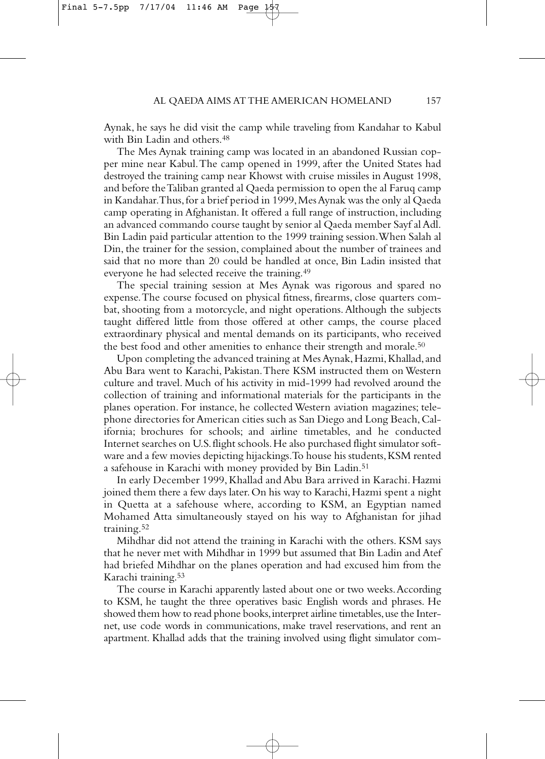Aynak, he says he did visit the camp while traveling from Kandahar to Kabul with Bin Ladin and others.48

The Mes Aynak training camp was located in an abandoned Russian copper mine near Kabul.The camp opened in 1999, after the United States had destroyed the training camp near Khowst with cruise missiles in August 1998, and before the Taliban granted al Qaeda permission to open the al Faruq camp in Kandahar. Thus, for a brief period in 1999, Mes Aynak was the only al Qaeda camp operating in Afghanistan. It offered a full range of instruction, including an advanced commando course taught by senior al Qaeda member Sayf al Adl. Bin Ladin paid particular attention to the 1999 training session.When Salah al Din, the trainer for the session, complained about the number of trainees and said that no more than 20 could be handled at once, Bin Ladin insisted that everyone he had selected receive the training.49

The special training session at Mes Aynak was rigorous and spared no expense.The course focused on physical fitness, firearms, close quarters combat, shooting from a motorcycle, and night operations.Although the subjects taught differed little from those offered at other camps, the course placed extraordinary physical and mental demands on its participants, who received the best food and other amenities to enhance their strength and morale.<sup>50</sup>

Upon completing the advanced training at Mes Aynak, Hazmi, Khallad, and Abu Bara went to Karachi, Pakistan.There KSM instructed them on Western culture and travel. Much of his activity in mid-1999 had revolved around the collection of training and informational materials for the participants in the planes operation. For instance, he collected Western aviation magazines; telephone directories for American cities such as San Diego and Long Beach,California; brochures for schools; and airline timetables, and he conducted Internet searches on U.S.flight schools.He also purchased flight simulator software and a few movies depicting hijackings.To house his students,KSM rented a safehouse in Karachi with money provided by Bin Ladin.51

In early December 1999, Khallad and Abu Bara arrived in Karachi.Hazmi joined them there a few days later. On his way to Karachi, Hazmi spent a night in Quetta at a safehouse where, according to KSM, an Egyptian named Mohamed Atta simultaneously stayed on his way to Afghanistan for jihad training.52

Mihdhar did not attend the training in Karachi with the others. KSM says that he never met with Mihdhar in 1999 but assumed that Bin Ladin and Atef had briefed Mihdhar on the planes operation and had excused him from the Karachi training.53

The course in Karachi apparently lasted about one or two weeks.According to KSM, he taught the three operatives basic English words and phrases. He showed them how to read phone books, interpret airline timetables, use the Internet, use code words in communications, make travel reservations, and rent an apartment. Khallad adds that the training involved using flight simulator com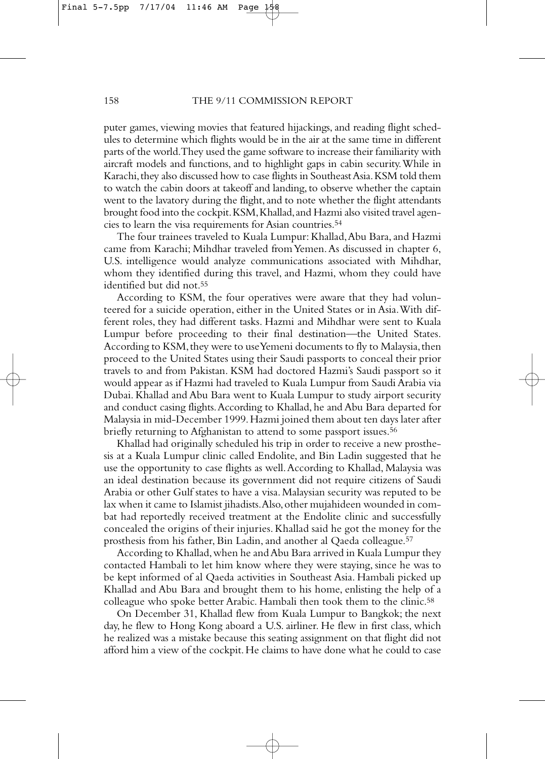puter games, viewing movies that featured hijackings, and reading flight schedules to determine which flights would be in the air at the same time in different parts of the world.They used the game software to increase their familiarity with aircraft models and functions, and to highlight gaps in cabin security.While in Karachi, they also discussed how to case flights in Southeast Asia. KSM told them to watch the cabin doors at takeoff and landing, to observe whether the captain went to the lavatory during the flight, and to note whether the flight attendants brought food into the cockpit.KSM,Khallad,and Hazmi also visited travel agencies to learn the visa requirements for Asian countries.54

The four trainees traveled to Kuala Lumpur: Khallad,Abu Bara, and Hazmi came from Karachi; Mihdhar traveled from Yemen.As discussed in chapter 6, U.S. intelligence would analyze communications associated with Mihdhar, whom they identified during this travel, and Hazmi, whom they could have identified but did not.55

According to KSM, the four operatives were aware that they had volunteered for a suicide operation, either in the United States or in Asia.With different roles, they had different tasks. Hazmi and Mihdhar were sent to Kuala Lumpur before proceeding to their final destination—the United States. According to KSM, they were to use Yemeni documents to fly to Malaysia, then proceed to the United States using their Saudi passports to conceal their prior travels to and from Pakistan. KSM had doctored Hazmi's Saudi passport so it would appear as if Hazmi had traveled to Kuala Lumpur from Saudi Arabia via Dubai. Khallad and Abu Bara went to Kuala Lumpur to study airport security and conduct casing flights.According to Khallad, he and Abu Bara departed for Malaysia in mid-December 1999.Hazmi joined them about ten days later after briefly returning to Afghanistan to attend to some passport issues.<sup>56</sup>

Khallad had originally scheduled his trip in order to receive a new prosthesis at a Kuala Lumpur clinic called Endolite, and Bin Ladin suggested that he use the opportunity to case flights as well.According to Khallad, Malaysia was an ideal destination because its government did not require citizens of Saudi Arabia or other Gulf states to have a visa. Malaysian security was reputed to be lax when it came to Islamist jihadists.Also,other mujahideen wounded in combat had reportedly received treatment at the Endolite clinic and successfully concealed the origins of their injuries.Khallad said he got the money for the prosthesis from his father, Bin Ladin, and another al Qaeda colleague.<sup>57</sup>

According to Khallad,when he and Abu Bara arrived in Kuala Lumpur they contacted Hambali to let him know where they were staying, since he was to be kept informed of al Qaeda activities in Southeast Asia. Hambali picked up Khallad and Abu Bara and brought them to his home, enlisting the help of a colleague who spoke better Arabic. Hambali then took them to the clinic.58

On December 31, Khallad flew from Kuala Lumpur to Bangkok; the next day, he flew to Hong Kong aboard a U.S. airliner. He flew in first class, which he realized was a mistake because this seating assignment on that flight did not afford him a view of the cockpit.He claims to have done what he could to case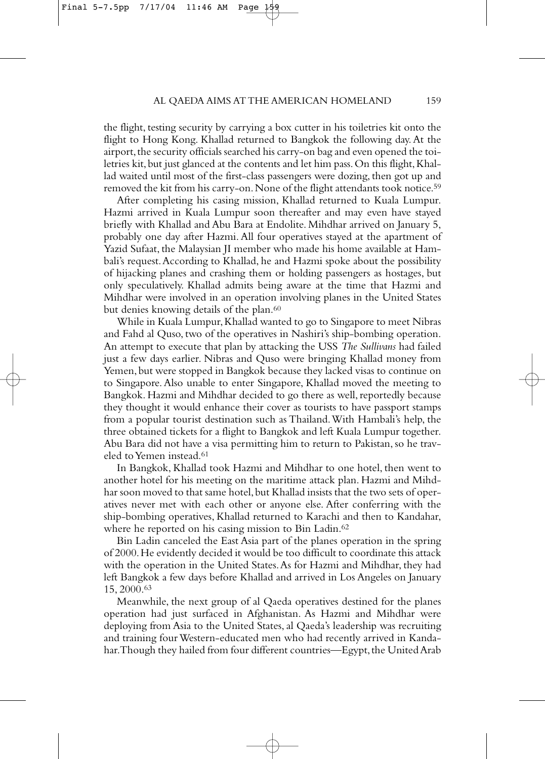the flight, testing security by carrying a box cutter in his toiletries kit onto the flight to Hong Kong. Khallad returned to Bangkok the following day. At the airport, the security officials searched his carry-on bag and even opened the toiletries kit, but just glanced at the contents and let him pass. On this flight, Khallad waited until most of the first-class passengers were dozing, then got up and removed the kit from his carry-on. None of the flight attendants took notice.<sup>59</sup>

After completing his casing mission, Khallad returned to Kuala Lumpur. Hazmi arrived in Kuala Lumpur soon thereafter and may even have stayed briefly with Khallad and Abu Bara at Endolite. Mihdhar arrived on January 5, probably one day after Hazmi. All four operatives stayed at the apartment of Yazid Sufaat, the Malaysian JI member who made his home available at Hambali's request.According to Khallad, he and Hazmi spoke about the possibility of hijacking planes and crashing them or holding passengers as hostages, but only speculatively. Khallad admits being aware at the time that Hazmi and Mihdhar were involved in an operation involving planes in the United States but denies knowing details of the plan.<sup>60</sup>

While in Kuala Lumpur,Khallad wanted to go to Singapore to meet Nibras and Fahd al Quso, two of the operatives in Nashiri's ship-bombing operation. An attempt to execute that plan by attacking the USS *The Sullivans* had failed just a few days earlier. Nibras and Quso were bringing Khallad money from Yemen, but were stopped in Bangkok because they lacked visas to continue on to Singapore. Also unable to enter Singapore, Khallad moved the meeting to Bangkok. Hazmi and Mihdhar decided to go there as well, reportedly because they thought it would enhance their cover as tourists to have passport stamps from a popular tourist destination such as Thailand.With Hambali's help, the three obtained tickets for a flight to Bangkok and left Kuala Lumpur together. Abu Bara did not have a visa permitting him to return to Pakistan, so he traveled to Yemen instead.61

In Bangkok, Khallad took Hazmi and Mihdhar to one hotel, then went to another hotel for his meeting on the maritime attack plan. Hazmi and Mihdhar soon moved to that same hotel, but Khallad insists that the two sets of operatives never met with each other or anyone else. After conferring with the ship-bombing operatives, Khallad returned to Karachi and then to Kandahar, where he reported on his casing mission to Bin Ladin.<sup>62</sup>

Bin Ladin canceled the East Asia part of the planes operation in the spring of 2000.He evidently decided it would be too difficult to coordinate this attack with the operation in the United States.As for Hazmi and Mihdhar, they had left Bangkok a few days before Khallad and arrived in Los Angeles on January 15, 2000.63

Meanwhile, the next group of al Qaeda operatives destined for the planes operation had just surfaced in Afghanistan. As Hazmi and Mihdhar were deploying from Asia to the United States, al Qaeda's leadership was recruiting and training four Western-educated men who had recently arrived in Kandahar. Though they hailed from four different countries—Egypt, the United Arab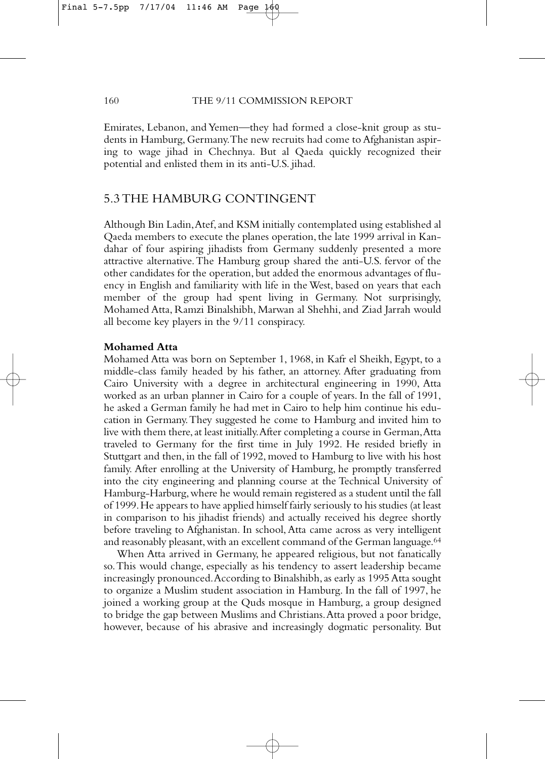Emirates, Lebanon, and Yemen—they had formed a close-knit group as students in Hamburg, Germany.The new recruits had come to Afghanistan aspiring to wage jihad in Chechnya. But al Qaeda quickly recognized their potential and enlisted them in its anti-U.S. jihad.

# 5.3 THE HAMBURG CONTINGENT

Although Bin Ladin, Atef, and KSM initially contemplated using established al Qaeda members to execute the planes operation, the late 1999 arrival in Kandahar of four aspiring jihadists from Germany suddenly presented a more attractive alternative.The Hamburg group shared the anti-U.S. fervor of the other candidates for the operation, but added the enormous advantages of fluency in English and familiarity with life in the West, based on years that each member of the group had spent living in Germany. Not surprisingly, Mohamed Atta, Ramzi Binalshibh, Marwan al Shehhi, and Ziad Jarrah would all become key players in the 9/11 conspiracy.

#### **Mohamed Atta**

Mohamed Atta was born on September 1, 1968, in Kafr el Sheikh, Egypt, to a middle-class family headed by his father, an attorney. After graduating from Cairo University with a degree in architectural engineering in 1990, Atta worked as an urban planner in Cairo for a couple of years. In the fall of 1991, he asked a German family he had met in Cairo to help him continue his education in Germany.They suggested he come to Hamburg and invited him to live with them there, at least initially. After completing a course in German, Atta traveled to Germany for the first time in July 1992. He resided briefly in Stuttgart and then, in the fall of 1992, moved to Hamburg to live with his host family. After enrolling at the University of Hamburg, he promptly transferred into the city engineering and planning course at the Technical University of Hamburg-Harburg, where he would remain registered as a student until the fall of 1999.He appears to have applied himself fairly seriously to his studies (at least in comparison to his jihadist friends) and actually received his degree shortly before traveling to Afghanistan. In school, Atta came across as very intelligent and reasonably pleasant, with an excellent command of the German language.<sup>64</sup>

When Atta arrived in Germany, he appeared religious, but not fanatically so.This would change, especially as his tendency to assert leadership became increasingly pronounced. According to Binalshibh, as early as 1995 Atta sought to organize a Muslim student association in Hamburg. In the fall of 1997, he joined a working group at the Quds mosque in Hamburg, a group designed to bridge the gap between Muslims and Christians.Atta proved a poor bridge, however, because of his abrasive and increasingly dogmatic personality. But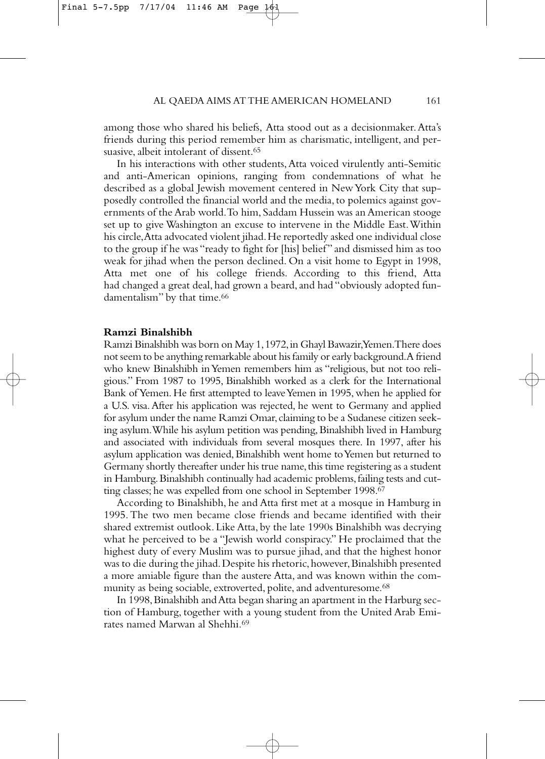among those who shared his beliefs, Atta stood out as a decisionmaker.Atta's friends during this period remember him as charismatic, intelligent, and persuasive, albeit intolerant of dissent.<sup>65</sup>

In his interactions with other students,Atta voiced virulently anti-Semitic and anti-American opinions, ranging from condemnations of what he described as a global Jewish movement centered in New York City that supposedly controlled the financial world and the media, to polemics against governments of the Arab world.To him, Saddam Hussein was an American stooge set up to give Washington an excuse to intervene in the Middle East. Within his circle,Atta advocated violent jihad.He reportedly asked one individual close to the group if he was "ready to fight for [his] belief" and dismissed him as too weak for jihad when the person declined. On a visit home to Egypt in 1998, Atta met one of his college friends. According to this friend, Atta had changed a great deal, had grown a beard, and had "obviously adopted fundamentalism" by that time.<sup>66</sup>

#### **Ramzi Binalshibh**

Ramzi Binalshibh was born on May 1,1972,in Ghayl Bawazir,Yemen.There does not seem to be anything remarkable about his family or early background.A friend who knew Binalshibh in Yemen remembers him as "religious, but not too religious." From 1987 to 1995, Binalshibh worked as a clerk for the International Bank of Yemen. He first attempted to leave Yemen in 1995, when he applied for a U.S. visa.After his application was rejected, he went to Germany and applied for asylum under the name Ramzi Omar,claiming to be a Sudanese citizen seeking asylum. While his asylum petition was pending, Binalshibh lived in Hamburg and associated with individuals from several mosques there. In 1997, after his asylum application was denied, Binalshibh went home to Yemen but returned to Germany shortly thereafter under his true name, this time registering as a student in Hamburg. Binalshibh continually had academic problems, failing tests and cutting classes; he was expelled from one school in September 1998.<sup>67</sup>

According to Binalshibh, he and Atta first met at a mosque in Hamburg in 1995. The two men became close friends and became identified with their shared extremist outlook. Like Atta, by the late 1990s Binalshibh was decrying what he perceived to be a "Jewish world conspiracy." He proclaimed that the highest duty of every Muslim was to pursue jihad, and that the highest honor was to die during the jihad. Despite his rhetoric, however, Binalshibh presented a more amiable figure than the austere Atta, and was known within the community as being sociable, extroverted, polite, and adventuresome.<sup>68</sup>

In 1998, Binalshibh and Atta began sharing an apartment in the Harburg section of Hamburg, together with a young student from the United Arab Emirates named Marwan al Shehhi.69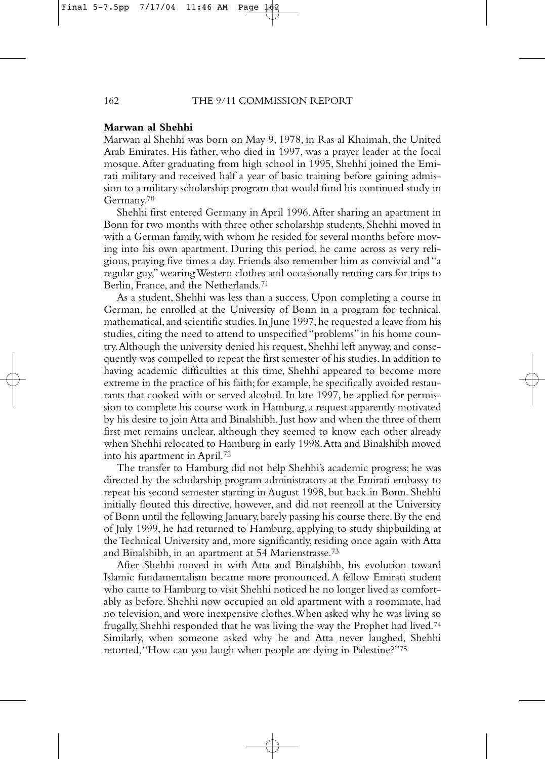## **Marwan al Shehhi**

Marwan al Shehhi was born on May 9, 1978, in Ras al Khaimah, the United Arab Emirates. His father, who died in 1997, was a prayer leader at the local mosque.After graduating from high school in 1995, Shehhi joined the Emirati military and received half a year of basic training before gaining admission to a military scholarship program that would fund his continued study in Germany.70

Shehhi first entered Germany in April 1996.After sharing an apartment in Bonn for two months with three other scholarship students, Shehhi moved in with a German family, with whom he resided for several months before moving into his own apartment. During this period, he came across as very religious, praying five times a day. Friends also remember him as convivial and "a regular guy," wearing Western clothes and occasionally renting cars for trips to Berlin, France, and the Netherlands.71

As a student, Shehhi was less than a success. Upon completing a course in German, he enrolled at the University of Bonn in a program for technical, mathematical,and scientific studies.In June 1997,he requested a leave from his studies, citing the need to attend to unspecified "problems" in his home country.Although the university denied his request, Shehhi left anyway, and consequently was compelled to repeat the first semester of his studies. In addition to having academic difficulties at this time, Shehhi appeared to become more extreme in the practice of his faith; for example, he specifically avoided restaurants that cooked with or served alcohol. In late 1997, he applied for permission to complete his course work in Hamburg, a request apparently motivated by his desire to join Atta and Binalshibh. Just how and when the three of them first met remains unclear, although they seemed to know each other already when Shehhi relocated to Hamburg in early 1998.Atta and Binalshibh moved into his apartment in April.72

The transfer to Hamburg did not help Shehhi's academic progress; he was directed by the scholarship program administrators at the Emirati embassy to repeat his second semester starting in August 1998, but back in Bonn. Shehhi initially flouted this directive, however, and did not reenroll at the University of Bonn until the following January,barely passing his course there.By the end of July 1999, he had returned to Hamburg, applying to study shipbuilding at the Technical University and, more significantly, residing once again with Atta and Binalshibh, in an apartment at 54 Marienstrasse.73

After Shehhi moved in with Atta and Binalshibh, his evolution toward Islamic fundamentalism became more pronounced. A fellow Emirati student who came to Hamburg to visit Shehhi noticed he no longer lived as comfortably as before. Shehhi now occupied an old apartment with a roommate, had no television, and wore inexpensive clothes.When asked why he was living so frugally, Shehhi responded that he was living the way the Prophet had lived.74 Similarly, when someone asked why he and Atta never laughed, Shehhi retorted,"How can you laugh when people are dying in Palestine?"75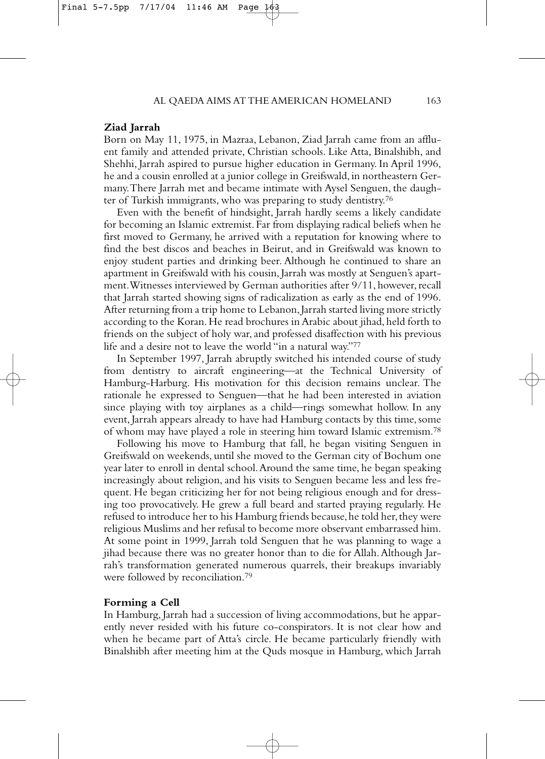# **Ziad Jarrah**

Born on May 11, 1975, in Mazraa, Lebanon, Ziad Jarrah came from an affluent family and attended private, Christian schools. Like Atta, Binalshibh, and Shehhi, Jarrah aspired to pursue higher education in Germany. In April 1996, he and a cousin enrolled at a junior college in Greifswald, in northeastern Germany.There Jarrah met and became intimate with Aysel Senguen, the daughter of Turkish immigrants, who was preparing to study dentistry.76

Even with the benefit of hindsight, Jarrah hardly seems a likely candidate for becoming an Islamic extremist. Far from displaying radical beliefs when he first moved to Germany, he arrived with a reputation for knowing where to find the best discos and beaches in Beirut, and in Greifswald was known to enjoy student parties and drinking beer. Although he continued to share an apartment in Greifswald with his cousin, Jarrah was mostly at Senguen's apartment. Witnesses interviewed by German authorities after 9/11, however, recall that Jarrah started showing signs of radicalization as early as the end of 1996. After returning from a trip home to Lebanon, Jarrah started living more strictly according to the Koran. He read brochures in Arabic about jihad, held forth to friends on the subject of holy war, and professed disaffection with his previous life and a desire not to leave the world "in a natural way."77

In September 1997, Jarrah abruptly switched his intended course of study from dentistry to aircraft engineering—at the Technical University of Hamburg-Harburg. His motivation for this decision remains unclear. The rationale he expressed to Senguen—that he had been interested in aviation since playing with toy airplanes as a child—rings somewhat hollow. In any event, Jarrah appears already to have had Hamburg contacts by this time, some of whom may have played a role in steering him toward Islamic extremism.78

Following his move to Hamburg that fall, he began visiting Senguen in Greifswald on weekends, until she moved to the German city of Bochum one year later to enroll in dental school.Around the same time, he began speaking increasingly about religion, and his visits to Senguen became less and less frequent. He began criticizing her for not being religious enough and for dressing too provocatively. He grew a full beard and started praying regularly. He refused to introduce her to his Hamburg friends because, he told her, they were religious Muslims and her refusal to become more observant embarrassed him. At some point in 1999, Jarrah told Senguen that he was planning to wage a jihad because there was no greater honor than to die for Allah.Although Jarrah's transformation generated numerous quarrels, their breakups invariably were followed by reconciliation.79

## **Forming a Cell**

In Hamburg, Jarrah had a succession of living accommodations, but he apparently never resided with his future co-conspirators. It is not clear how and when he became part of Atta's circle. He became particularly friendly with Binalshibh after meeting him at the Quds mosque in Hamburg, which Jarrah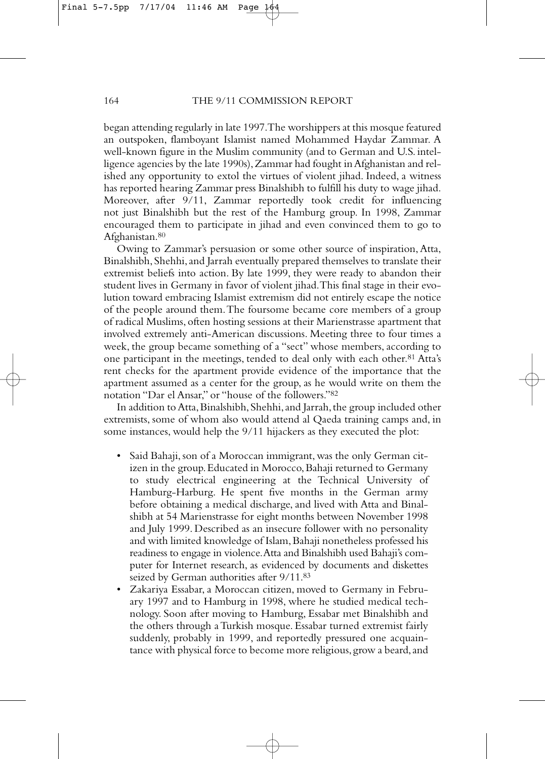began attending regularly in late 1997.The worshippers at this mosque featured an outspoken, flamboyant Islamist named Mohammed Haydar Zammar. A well-known figure in the Muslim community (and to German and U.S. intelligence agencies by the late 1990s), Zammar had fought in Afghanistan and relished any opportunity to extol the virtues of violent jihad. Indeed, a witness has reported hearing Zammar press Binalshibh to fulfill his duty to wage jihad. Moreover, after 9/11, Zammar reportedly took credit for influencing not just Binalshibh but the rest of the Hamburg group. In 1998, Zammar encouraged them to participate in jihad and even convinced them to go to Afghanistan.80

Owing to Zammar's persuasion or some other source of inspiration, Atta, Binalshibh, Shehhi, and Jarrah eventually prepared themselves to translate their extremist beliefs into action. By late 1999, they were ready to abandon their student lives in Germany in favor of violent jihad.This final stage in their evolution toward embracing Islamist extremism did not entirely escape the notice of the people around them.The foursome became core members of a group of radical Muslims, often hosting sessions at their Marienstrasse apartment that involved extremely anti-American discussions. Meeting three to four times a week, the group became something of a "sect" whose members, according to one participant in the meetings, tended to deal only with each other.81 Atta's rent checks for the apartment provide evidence of the importance that the apartment assumed as a center for the group, as he would write on them the notation "Dar el Ansar," or "house of the followers."82

In addition to Atta, Binalshibh, Shehhi, and Jarrah, the group included other extremists, some of whom also would attend al Qaeda training camps and, in some instances, would help the 9/11 hijackers as they executed the plot:

- Said Bahaji, son of a Moroccan immigrant, was the only German citizen in the group.Educated in Morocco,Bahaji returned to Germany to study electrical engineering at the Technical University of Hamburg-Harburg. He spent five months in the German army before obtaining a medical discharge, and lived with Atta and Binalshibh at 54 Marienstrasse for eight months between November 1998 and July 1999. Described as an insecure follower with no personality and with limited knowledge of Islam, Bahaji nonetheless professed his readiness to engage in violence.Atta and Binalshibh used Bahaji's computer for Internet research, as evidenced by documents and diskettes seized by German authorities after 9/11.83
- Zakariya Essabar, a Moroccan citizen, moved to Germany in February 1997 and to Hamburg in 1998, where he studied medical technology. Soon after moving to Hamburg, Essabar met Binalshibh and the others through a Turkish mosque. Essabar turned extremist fairly suddenly, probably in 1999, and reportedly pressured one acquaintance with physical force to become more religious, grow a beard, and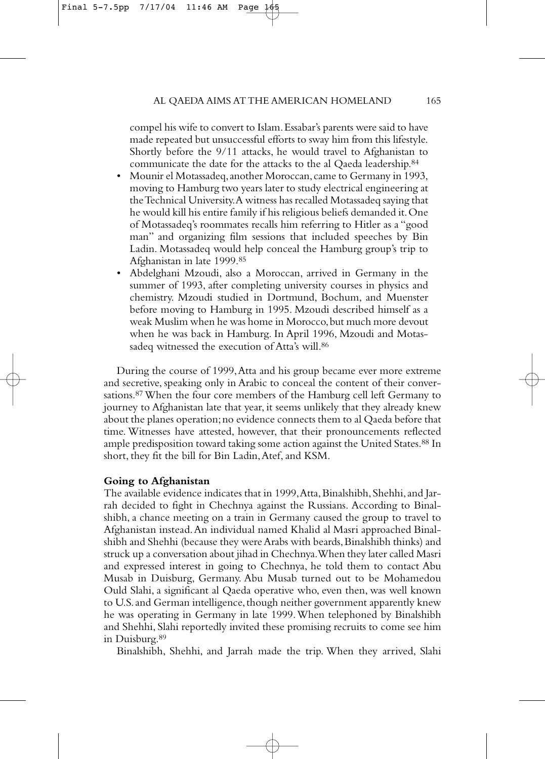compel his wife to convert to Islam.Essabar's parents were said to have made repeated but unsuccessful efforts to sway him from this lifestyle. Shortly before the 9/11 attacks, he would travel to Afghanistan to communicate the date for the attacks to the al Qaeda leadership.84

- Mounir el Motassadeq, another Moroccan, came to Germany in 1993, moving to Hamburg two years later to study electrical engineering at the Technical University.A witness has recalled Motassadeq saying that he would kill his entire family if his religious beliefs demanded it.One of Motassadeq's roommates recalls him referring to Hitler as a "good man" and organizing film sessions that included speeches by Bin Ladin. Motassadeq would help conceal the Hamburg group's trip to Afghanistan in late 1999.85
- Abdelghani Mzoudi, also a Moroccan, arrived in Germany in the summer of 1993, after completing university courses in physics and chemistry. Mzoudi studied in Dortmund, Bochum, and Muenster before moving to Hamburg in 1995. Mzoudi described himself as a weak Muslim when he was home in Morocco,but much more devout when he was back in Hamburg. In April 1996, Mzoudi and Motassadeq witnessed the execution of Atta's will.86

During the course of 1999,Atta and his group became ever more extreme and secretive, speaking only in Arabic to conceal the content of their conversations.<sup>87</sup> When the four core members of the Hamburg cell left Germany to journey to Afghanistan late that year, it seems unlikely that they already knew about the planes operation;no evidence connects them to al Qaeda before that time. Witnesses have attested, however, that their pronouncements reflected ample predisposition toward taking some action against the United States.<sup>88</sup> In short, they fit the bill for Bin Ladin,Atef, and KSM.

## **Going to Afghanistan**

The available evidence indicates that in 1999, Atta, Binalshibh, Shehhi, and Jarrah decided to fight in Chechnya against the Russians. According to Binalshibh, a chance meeting on a train in Germany caused the group to travel to Afghanistan instead.An individual named Khalid al Masri approached Binalshibh and Shehhi (because they were Arabs with beards,Binalshibh thinks) and struck up a conversation about jihad in Chechnya.When they later called Masri and expressed interest in going to Chechnya, he told them to contact Abu Musab in Duisburg, Germany. Abu Musab turned out to be Mohamedou Ould Slahi, a significant al Qaeda operative who, even then, was well known to U.S. and German intelligence, though neither government apparently knew he was operating in Germany in late 1999.When telephoned by Binalshibh and Shehhi, Slahi reportedly invited these promising recruits to come see him in Duisburg.89

Binalshibh, Shehhi, and Jarrah made the trip. When they arrived, Slahi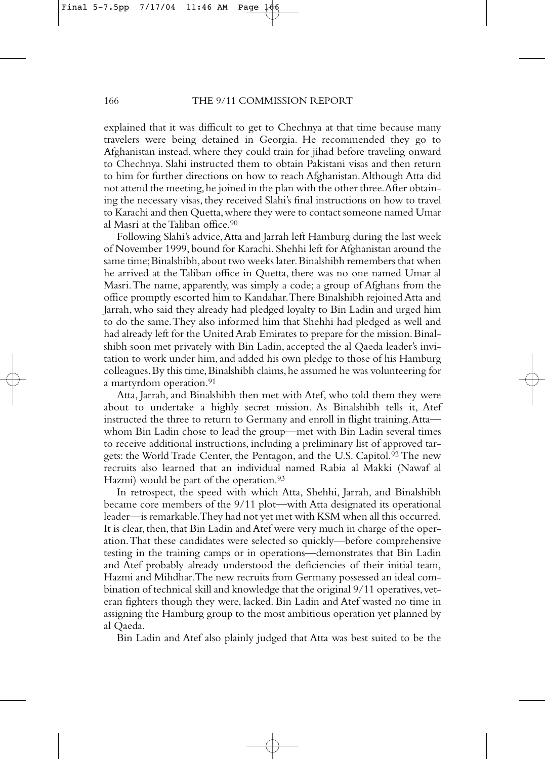explained that it was difficult to get to Chechnya at that time because many travelers were being detained in Georgia. He recommended they go to Afghanistan instead, where they could train for jihad before traveling onward to Chechnya. Slahi instructed them to obtain Pakistani visas and then return to him for further directions on how to reach Afghanistan.Although Atta did not attend the meeting, he joined in the plan with the other three. After obtaining the necessary visas, they received Slahi's final instructions on how to travel to Karachi and then Quetta, where they were to contact someone named Umar al Masri at the Taliban office.90

Following Slahi's advice,Atta and Jarrah left Hamburg during the last week of November 1999, bound for Karachi. Shehhi left for Afghanistan around the same time; Binalshibh, about two weeks later. Binalshibh remembers that when he arrived at the Taliban office in Quetta, there was no one named Umar al Masri.The name, apparently, was simply a code; a group of Afghans from the office promptly escorted him to Kandahar.There Binalshibh rejoined Atta and Jarrah, who said they already had pledged loyalty to Bin Ladin and urged him to do the same.They also informed him that Shehhi had pledged as well and had already left for the United Arab Emirates to prepare for the mission. Binalshibh soon met privately with Bin Ladin, accepted the al Qaeda leader's invitation to work under him, and added his own pledge to those of his Hamburg colleagues. By this time, Binalshibh claims, he assumed he was volunteering for a martyrdom operation.91

Atta, Jarrah, and Binalshibh then met with Atef, who told them they were about to undertake a highly secret mission. As Binalshibh tells it, Atef instructed the three to return to Germany and enroll in flight training.Atta whom Bin Ladin chose to lead the group—met with Bin Ladin several times to receive additional instructions, including a preliminary list of approved targets: the World Trade Center, the Pentagon, and the U.S. Capitol.<sup>92</sup> The new recruits also learned that an individual named Rabia al Makki (Nawaf al Hazmi) would be part of the operation.<sup>93</sup>

In retrospect, the speed with which Atta, Shehhi, Jarrah, and Binalshibh became core members of the 9/11 plot—with Atta designated its operational leader—is remarkable.They had not yet met with KSM when all this occurred. It is clear, then, that Bin Ladin and Atef were very much in charge of the operation.That these candidates were selected so quickly—before comprehensive testing in the training camps or in operations—demonstrates that Bin Ladin and Atef probably already understood the deficiencies of their initial team, Hazmi and Mihdhar.The new recruits from Germany possessed an ideal combination of technical skill and knowledge that the original 9/11 operatives, veteran fighters though they were, lacked. Bin Ladin and Atef wasted no time in assigning the Hamburg group to the most ambitious operation yet planned by al Qaeda.

Bin Ladin and Atef also plainly judged that Atta was best suited to be the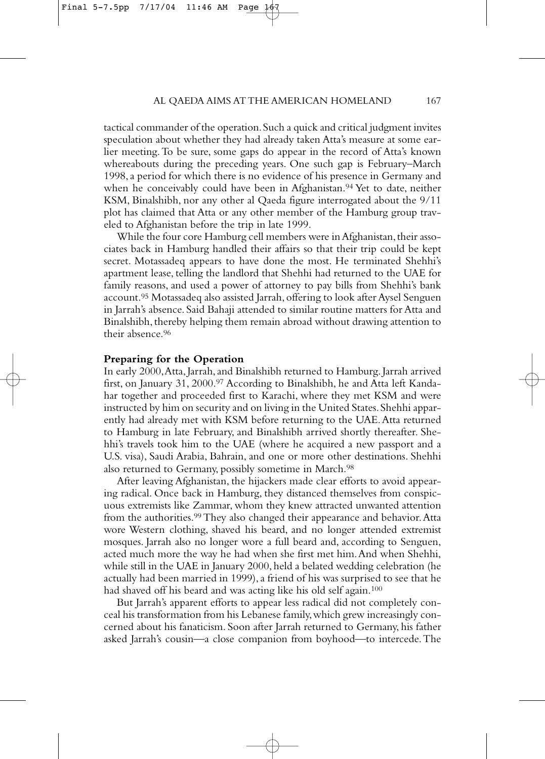tactical commander of the operation.Such a quick and critical judgment invites speculation about whether they had already taken Atta's measure at some earlier meeting.To be sure, some gaps do appear in the record of Atta's known whereabouts during the preceding years. One such gap is February–March 1998, a period for which there is no evidence of his presence in Germany and when he conceivably could have been in Afghanistan.<sup>94</sup> Yet to date, neither KSM, Binalshibh, nor any other al Qaeda figure interrogated about the 9/11 plot has claimed that Atta or any other member of the Hamburg group traveled to Afghanistan before the trip in late 1999.

While the four core Hamburg cell members were in Afghanistan, their associates back in Hamburg handled their affairs so that their trip could be kept secret. Motassadeq appears to have done the most. He terminated Shehhi's apartment lease, telling the landlord that Shehhi had returned to the UAE for family reasons, and used a power of attorney to pay bills from Shehhi's bank account.95 Motassadeq also assisted Jarrah,offering to look after Aysel Senguen in Jarrah's absence. Said Bahaji attended to similar routine matters for Atta and Binalshibh, thereby helping them remain abroad without drawing attention to their absence.96

## **Preparing for the Operation**

In early 2000, Atta, Jarrah, and Binalshibh returned to Hamburg. Jarrah arrived first, on January 31, 2000.97 According to Binalshibh, he and Atta left Kandahar together and proceeded first to Karachi, where they met KSM and were instructed by him on security and on living in the United States.Shehhi apparently had already met with KSM before returning to the UAE.Atta returned to Hamburg in late February, and Binalshibh arrived shortly thereafter. Shehhi's travels took him to the UAE (where he acquired a new passport and a U.S. visa), Saudi Arabia, Bahrain, and one or more other destinations. Shehhi also returned to Germany, possibly sometime in March.<sup>98</sup>

After leaving Afghanistan, the hijackers made clear efforts to avoid appearing radical. Once back in Hamburg, they distanced themselves from conspicuous extremists like Zammar, whom they knew attracted unwanted attention from the authorities.<sup>99</sup> They also changed their appearance and behavior. Atta wore Western clothing, shaved his beard, and no longer attended extremist mosques. Jarrah also no longer wore a full beard and, according to Senguen, acted much more the way he had when she first met him.And when Shehhi, while still in the UAE in January 2000, held a belated wedding celebration (he actually had been married in 1999), a friend of his was surprised to see that he had shaved off his beard and was acting like his old self again.<sup>100</sup>

But Jarrah's apparent efforts to appear less radical did not completely conceal his transformation from his Lebanese family,which grew increasingly concerned about his fanaticism. Soon after Jarrah returned to Germany, his father asked Jarrah's cousin—a close companion from boyhood—to intercede.The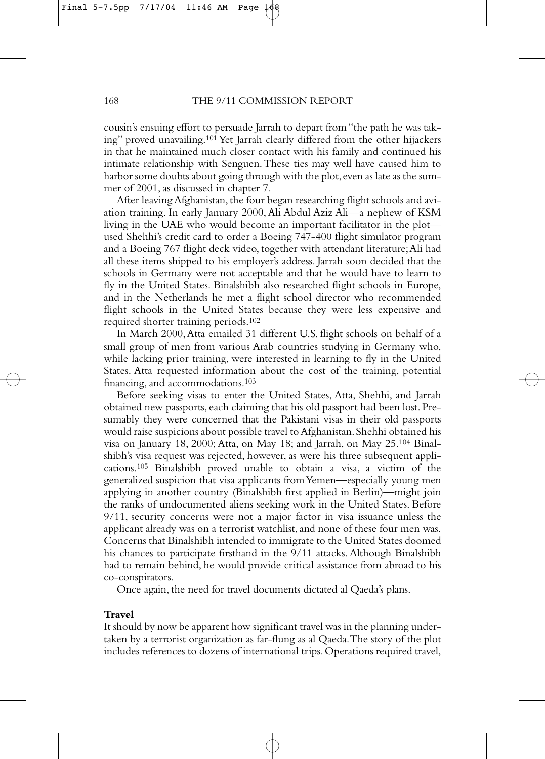cousin's ensuing effort to persuade Jarrah to depart from "the path he was taking" proved unavailing.101 Yet Jarrah clearly differed from the other hijackers in that he maintained much closer contact with his family and continued his intimate relationship with Senguen.These ties may well have caused him to harbor some doubts about going through with the plot, even as late as the summer of 2001, as discussed in chapter 7.

After leaving Afghanistan, the four began researching flight schools and aviation training. In early January 2000,Ali Abdul Aziz Ali—a nephew of KSM living in the UAE who would become an important facilitator in the plot used Shehhi's credit card to order a Boeing 747-400 flight simulator program and a Boeing 767 flight deck video, together with attendant literature;Ali had all these items shipped to his employer's address. Jarrah soon decided that the schools in Germany were not acceptable and that he would have to learn to fly in the United States. Binalshibh also researched flight schools in Europe, and in the Netherlands he met a flight school director who recommended flight schools in the United States because they were less expensive and required shorter training periods.102

In March 2000,Atta emailed 31 different U.S. flight schools on behalf of a small group of men from various Arab countries studying in Germany who, while lacking prior training, were interested in learning to fly in the United States. Atta requested information about the cost of the training, potential financing, and accommodations.103

Before seeking visas to enter the United States, Atta, Shehhi, and Jarrah obtained new passports, each claiming that his old passport had been lost. Presumably they were concerned that the Pakistani visas in their old passports would raise suspicions about possible travel to Afghanistan.Shehhi obtained his visa on January 18, 2000; Atta, on May 18; and Jarrah, on May 25.104 Binalshibh's visa request was rejected, however, as were his three subsequent applications.105 Binalshibh proved unable to obtain a visa, a victim of the generalized suspicion that visa applicants from Yemen—especially young men applying in another country (Binalshibh first applied in Berlin)—might join the ranks of undocumented aliens seeking work in the United States. Before 9/11, security concerns were not a major factor in visa issuance unless the applicant already was on a terrorist watchlist, and none of these four men was. Concerns that Binalshibh intended to immigrate to the United States doomed his chances to participate firsthand in the 9/11 attacks. Although Binalshibh had to remain behind, he would provide critical assistance from abroad to his co-conspirators.

Once again, the need for travel documents dictated al Qaeda's plans.

#### **Travel**

It should by now be apparent how significant travel was in the planning undertaken by a terrorist organization as far-flung as al Qaeda.The story of the plot includes references to dozens of international trips.Operations required travel,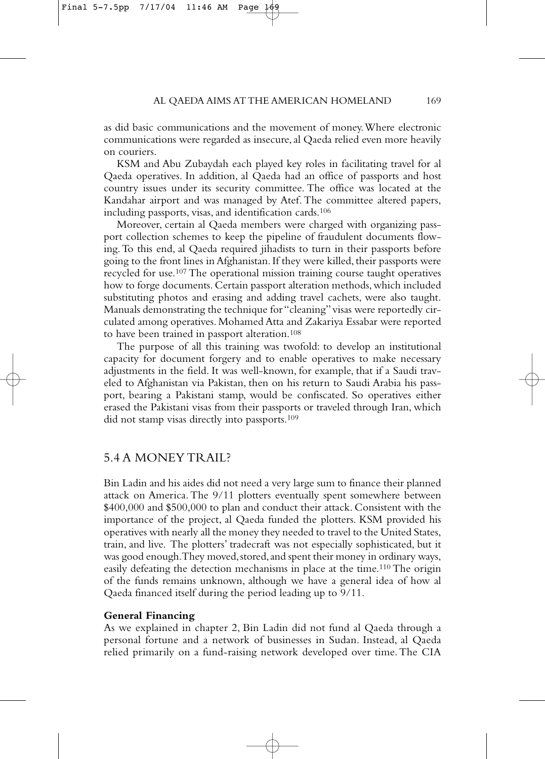as did basic communications and the movement of money.Where electronic communications were regarded as insecure, al Qaeda relied even more heavily on couriers.

KSM and Abu Zubaydah each played key roles in facilitating travel for al Qaeda operatives. In addition, al Qaeda had an office of passports and host country issues under its security committee. The office was located at the Kandahar airport and was managed by Atef. The committee altered papers, including passports, visas, and identification cards.106

Moreover, certain al Qaeda members were charged with organizing passport collection schemes to keep the pipeline of fraudulent documents flowing.To this end, al Qaeda required jihadists to turn in their passports before going to the front lines in Afghanistan. If they were killed, their passports were recycled for use.107 The operational mission training course taught operatives how to forge documents. Certain passport alteration methods, which included substituting photos and erasing and adding travel cachets, were also taught. Manuals demonstrating the technique for "cleaning" visas were reportedly circulated among operatives. Mohamed Atta and Zakariya Essabar were reported to have been trained in passport alteration.108

The purpose of all this training was twofold: to develop an institutional capacity for document forgery and to enable operatives to make necessary adjustments in the field. It was well-known, for example, that if a Saudi traveled to Afghanistan via Pakistan, then on his return to Saudi Arabia his passport, bearing a Pakistani stamp, would be confiscated. So operatives either erased the Pakistani visas from their passports or traveled through Iran, which did not stamp visas directly into passports.109

# 5.4 A MONEY TRAIL?

Bin Ladin and his aides did not need a very large sum to finance their planned attack on America. The 9/11 plotters eventually spent somewhere between \$400,000 and \$500,000 to plan and conduct their attack. Consistent with the importance of the project, al Qaeda funded the plotters. KSM provided his operatives with nearly all the money they needed to travel to the United States, train, and live. The plotters' tradecraft was not especially sophisticated, but it was good enough. They moved, stored, and spent their money in ordinary ways, easily defeating the detection mechanisms in place at the time.110 The origin of the funds remains unknown, although we have a general idea of how al Qaeda financed itself during the period leading up to 9/11.

# **General Financing**

As we explained in chapter 2, Bin Ladin did not fund al Qaeda through a personal fortune and a network of businesses in Sudan. Instead, al Qaeda relied primarily on a fund-raising network developed over time. The CIA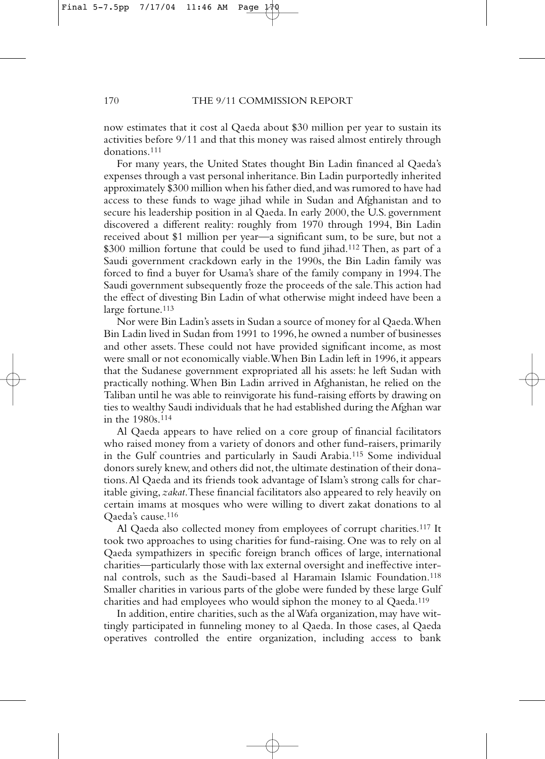now estimates that it cost al Qaeda about \$30 million per year to sustain its activities before 9/11 and that this money was raised almost entirely through donations.111

For many years, the United States thought Bin Ladin financed al Qaeda's expenses through a vast personal inheritance. Bin Ladin purportedly inherited approximately \$300 million when his father died,and was rumored to have had access to these funds to wage jihad while in Sudan and Afghanistan and to secure his leadership position in al Qaeda. In early 2000, the U.S. government discovered a different reality: roughly from 1970 through 1994, Bin Ladin received about \$1 million per year—a significant sum, to be sure, but not a \$300 million fortune that could be used to fund jihad.<sup>112</sup> Then, as part of a Saudi government crackdown early in the 1990s, the Bin Ladin family was forced to find a buyer for Usama's share of the family company in 1994.The Saudi government subsequently froze the proceeds of the sale.This action had the effect of divesting Bin Ladin of what otherwise might indeed have been a large fortune.113

Nor were Bin Ladin's assets in Sudan a source of money for al Qaeda.When Bin Ladin lived in Sudan from 1991 to 1996, he owned a number of businesses and other assets. These could not have provided significant income, as most were small or not economically viable.When Bin Ladin left in 1996, it appears that the Sudanese government expropriated all his assets: he left Sudan with practically nothing.When Bin Ladin arrived in Afghanistan, he relied on the Taliban until he was able to reinvigorate his fund-raising efforts by drawing on ties to wealthy Saudi individuals that he had established during the Afghan war in the 1980s.114

Al Qaeda appears to have relied on a core group of financial facilitators who raised money from a variety of donors and other fund-raisers, primarily in the Gulf countries and particularly in Saudi Arabia.115 Some individual donors surely knew, and others did not, the ultimate destination of their donations.Al Qaeda and its friends took advantage of Islam's strong calls for charitable giving, *zakat*.These financial facilitators also appeared to rely heavily on certain imams at mosques who were willing to divert zakat donations to al Qaeda's cause.116

Al Qaeda also collected money from employees of corrupt charities.117 It took two approaches to using charities for fund-raising. One was to rely on al Qaeda sympathizers in specific foreign branch offices of large, international charities—particularly those with lax external oversight and ineffective internal controls, such as the Saudi-based al Haramain Islamic Foundation.118 Smaller charities in various parts of the globe were funded by these large Gulf charities and had employees who would siphon the money to al Qaeda.119

In addition, entire charities, such as the al Wafa organization, may have wittingly participated in funneling money to al Qaeda. In those cases, al Qaeda operatives controlled the entire organization, including access to bank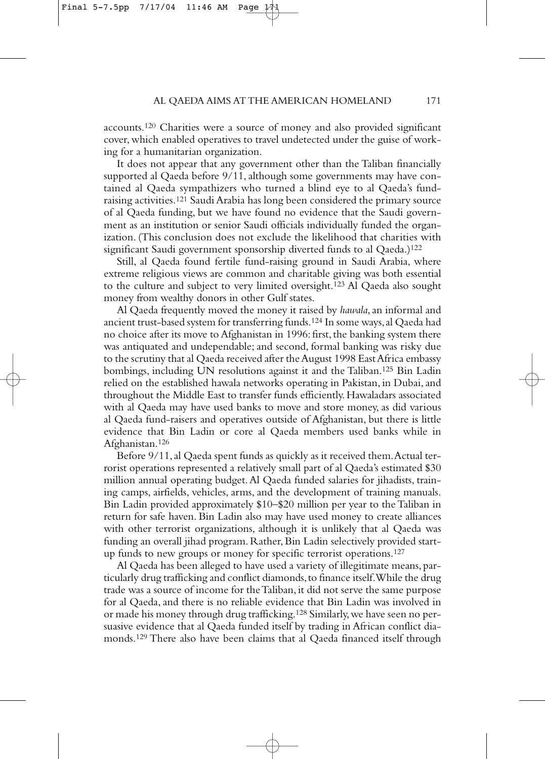accounts.120 Charities were a source of money and also provided significant cover, which enabled operatives to travel undetected under the guise of working for a humanitarian organization.

It does not appear that any government other than the Taliban financially supported al Qaeda before 9/11, although some governments may have contained al Qaeda sympathizers who turned a blind eye to al Qaeda's fundraising activities.121 Saudi Arabia has long been considered the primary source of al Qaeda funding, but we have found no evidence that the Saudi government as an institution or senior Saudi officials individually funded the organization. (This conclusion does not exclude the likelihood that charities with significant Saudi government sponsorship diverted funds to al Qaeda.)<sup>122</sup>

Still, al Qaeda found fertile fund-raising ground in Saudi Arabia, where extreme religious views are common and charitable giving was both essential to the culture and subject to very limited oversight.<sup>123</sup> Al Qaeda also sought money from wealthy donors in other Gulf states.

Al Qaeda frequently moved the money it raised by *hawala*, an informal and ancient trust-based system for transferring funds.<sup>124</sup> In some ways, al Qaeda had no choice after its move to Afghanistan in 1996: first, the banking system there was antiquated and undependable; and second, formal banking was risky due to the scrutiny that al Qaeda received after the August 1998 East Africa embassy bombings, including UN resolutions against it and the Taliban.125 Bin Ladin relied on the established hawala networks operating in Pakistan, in Dubai, and throughout the Middle East to transfer funds efficiently. Hawaladars associated with al Qaeda may have used banks to move and store money, as did various al Qaeda fund-raisers and operatives outside of Afghanistan, but there is little evidence that Bin Ladin or core al Qaeda members used banks while in Afghanistan.126

Before 9/11, al Qaeda spent funds as quickly as it received them. Actual terrorist operations represented a relatively small part of al Qaeda's estimated \$30 million annual operating budget.Al Qaeda funded salaries for jihadists, training camps, airfields, vehicles, arms, and the development of training manuals. Bin Ladin provided approximately \$10–\$20 million per year to the Taliban in return for safe haven. Bin Ladin also may have used money to create alliances with other terrorist organizations, although it is unlikely that al Qaeda was funding an overall jihad program. Rather, Bin Ladin selectively provided startup funds to new groups or money for specific terrorist operations.<sup>127</sup>

Al Qaeda has been alleged to have used a variety of illegitimate means, particularly drug trafficking and conflict diamonds,to finance itself.While the drug trade was a source of income for the Taliban, it did not serve the same purpose for al Qaeda, and there is no reliable evidence that Bin Ladin was involved in or made his money through drug trafficking.128 Similarly,we have seen no persuasive evidence that al Qaeda funded itself by trading in African conflict diamonds.129 There also have been claims that al Qaeda financed itself through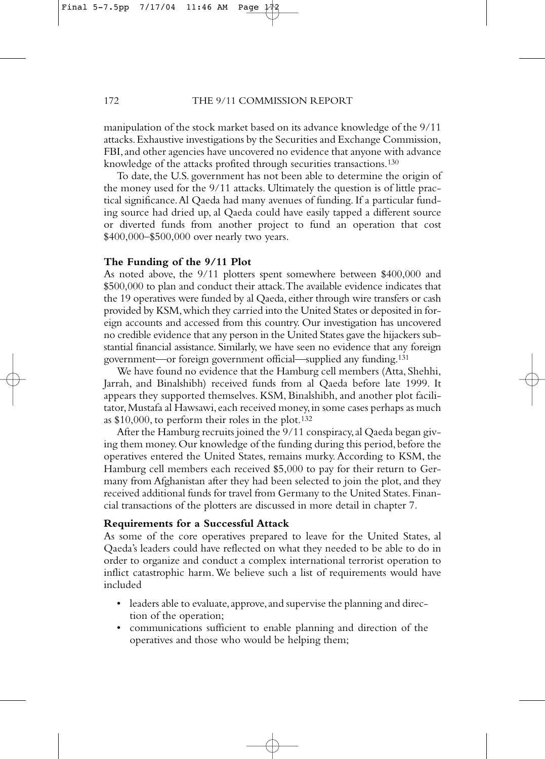manipulation of the stock market based on its advance knowledge of the 9/11 attacks.Exhaustive investigations by the Securities and Exchange Commission, FBI,and other agencies have uncovered no evidence that anyone with advance knowledge of the attacks profited through securities transactions.130

To date, the U.S. government has not been able to determine the origin of the money used for the 9/11 attacks. Ultimately the question is of little practical significance.Al Qaeda had many avenues of funding. If a particular funding source had dried up, al Qaeda could have easily tapped a different source or diverted funds from another project to fund an operation that cost \$400,000–\$500,000 over nearly two years.

#### **The Funding of the 9/11 Plot**

As noted above, the 9/11 plotters spent somewhere between \$400,000 and \$500,000 to plan and conduct their attack.The available evidence indicates that the 19 operatives were funded by al Qaeda, either through wire transfers or cash provided by KSM, which they carried into the United States or deposited in foreign accounts and accessed from this country. Our investigation has uncovered no credible evidence that any person in the United States gave the hijackers substantial financial assistance. Similarly, we have seen no evidence that any foreign government—or foreign government official—supplied any funding.131

We have found no evidence that the Hamburg cell members (Atta, Shehhi, Jarrah, and Binalshibh) received funds from al Qaeda before late 1999. It appears they supported themselves. KSM, Binalshibh, and another plot facilitator,Mustafa al Hawsawi,each received money,in some cases perhaps as much as \$10,000, to perform their roles in the plot.132

After the Hamburg recruits joined the 9/11 conspiracy, al Qaeda began giving them money.Our knowledge of the funding during this period,before the operatives entered the United States, remains murky.According to KSM, the Hamburg cell members each received \$5,000 to pay for their return to Germany from Afghanistan after they had been selected to join the plot, and they received additional funds for travel from Germany to the United States.Financial transactions of the plotters are discussed in more detail in chapter 7.

# **Requirements for a Successful Attack**

As some of the core operatives prepared to leave for the United States, al Qaeda's leaders could have reflected on what they needed to be able to do in order to organize and conduct a complex international terrorist operation to inflict catastrophic harm.We believe such a list of requirements would have included

- leaders able to evaluate,approve,and supervise the planning and direction of the operation;
- communications sufficient to enable planning and direction of the operatives and those who would be helping them;